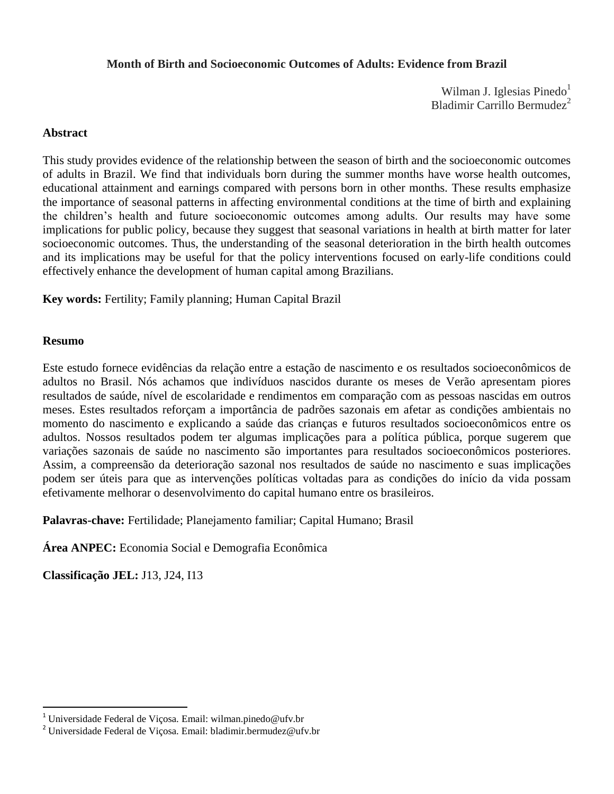# **Month of Birth and Socioeconomic Outcomes of Adults: Evidence from Brazil**

Wilman J. Iglesias Pinedo<sup>1</sup> Bladimir Carrillo Bermudez<sup>2</sup>

# **Abstract**

This study provides evidence of the relationship between the season of birth and the socioeconomic outcomes of adults in Brazil. We find that individuals born during the summer months have worse health outcomes, educational attainment and earnings compared with persons born in other months. These results emphasize the importance of seasonal patterns in affecting environmental conditions at the time of birth and explaining the children"s health and future socioeconomic outcomes among adults. Our results may have some implications for public policy, because they suggest that seasonal variations in health at birth matter for later socioeconomic outcomes. Thus, the understanding of the seasonal deterioration in the birth health outcomes and its implications may be useful for that the policy interventions focused on early-life conditions could effectively enhance the development of human capital among Brazilians.

**Key words:** Fertility; Family planning; Human Capital Brazil

# **Resumo**

 $\overline{a}$ 

Este estudo fornece evidências da relação entre a estação de nascimento e os resultados socioeconômicos de adultos no Brasil. Nós achamos que indivíduos nascidos durante os meses de Verão apresentam piores resultados de saúde, nível de escolaridade e rendimentos em comparação com as pessoas nascidas em outros meses. Estes resultados reforçam a importância de padrões sazonais em afetar as condições ambientais no momento do nascimento e explicando a saúde das crianças e futuros resultados socioeconômicos entre os adultos. Nossos resultados podem ter algumas implicações para a política pública, porque sugerem que variações sazonais de saúde no nascimento são importantes para resultados socioeconômicos posteriores. Assim, a compreensão da deterioração sazonal nos resultados de saúde no nascimento e suas implicações podem ser úteis para que as intervenções políticas voltadas para as condições do início da vida possam efetivamente melhorar o desenvolvimento do capital humano entre os brasileiros.

**Palavras-chave:** Fertilidade; Planejamento familiar; Capital Humano; Brasil

**Área ANPEC:** Economia Social e Demografia Econômica

**Classificação JEL:** J13, J24, I13

<sup>&</sup>lt;sup>1</sup> Universidade Federal de Viçosa. Email: wilman.pinedo@ufv.br

 $^{2}$ Universidade Federal de Viçosa. Email: bladimir.bermudez@ufv.br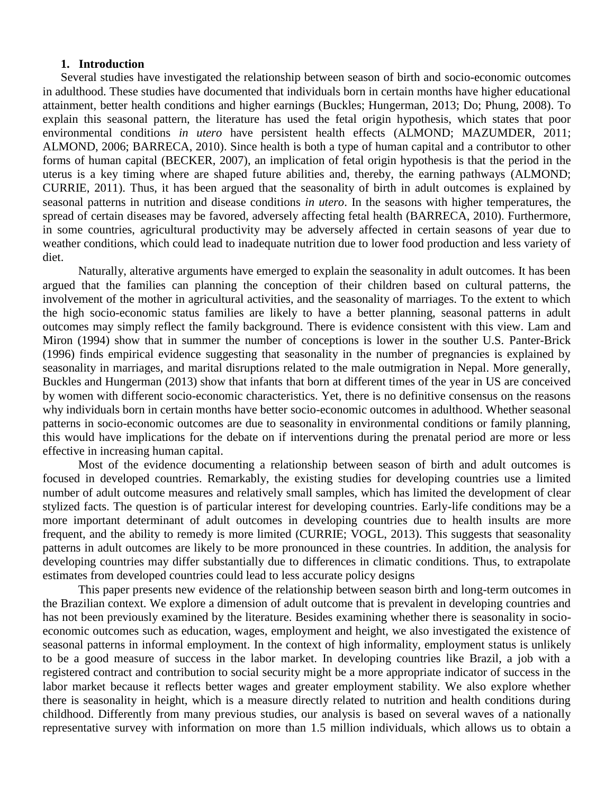# **1. Introduction**

Several studies have investigated the relationship between season of birth and socio-economic outcomes in adulthood. These studies have documented that individuals born in certain months have higher educational attainment, better health conditions and higher earnings (Buckles; Hungerman, 2013; Do; Phung, 2008). To explain this seasonal pattern, the literature has used the fetal origin hypothesis, which states that poor environmental conditions *in utero* have persistent health effects (ALMOND; MAZUMDER, 2011; ALMOND, 2006; BARRECA, 2010). Since health is both a type of human capital and a contributor to other forms of human capital (BECKER, 2007), an implication of fetal origin hypothesis is that the period in the uterus is a key timing where are shaped future abilities and, thereby, the earning pathways (ALMOND; CURRIE, 2011). Thus, it has been argued that the seasonality of birth in adult outcomes is explained by seasonal patterns in nutrition and disease conditions *in utero*. In the seasons with higher temperatures, the spread of certain diseases may be favored, adversely affecting fetal health (BARRECA, 2010). Furthermore, in some countries, agricultural productivity may be adversely affected in certain seasons of year due to weather conditions, which could lead to inadequate nutrition due to lower food production and less variety of diet.

Naturally, alterative arguments have emerged to explain the seasonality in adult outcomes. It has been argued that the families can planning the conception of their children based on cultural patterns, the involvement of the mother in agricultural activities, and the seasonality of marriages. To the extent to which the high socio-economic status families are likely to have a better planning, seasonal patterns in adult outcomes may simply reflect the family background. There is evidence consistent with this view. Lam and Miron (1994) show that in summer the number of conceptions is lower in the souther U.S. Panter-Brick (1996) finds empirical evidence suggesting that seasonality in the number of pregnancies is explained by seasonality in marriages, and marital disruptions related to the male outmigration in Nepal. More generally, Buckles and Hungerman (2013) show that infants that born at different times of the year in US are conceived by women with different socio-economic characteristics. Yet, there is no definitive consensus on the reasons why individuals born in certain months have better socio-economic outcomes in adulthood. Whether seasonal patterns in socio-economic outcomes are due to seasonality in environmental conditions or family planning, this would have implications for the debate on if interventions during the prenatal period are more or less effective in increasing human capital.

Most of the evidence documenting a relationship between season of birth and adult outcomes is focused in developed countries. Remarkably, the existing studies for developing countries use a limited number of adult outcome measures and relatively small samples, which has limited the development of clear stylized facts. The question is of particular interest for developing countries. Early-life conditions may be a more important determinant of adult outcomes in developing countries due to health insults are more frequent, and the ability to remedy is more limited (CURRIE; VOGL, 2013). This suggests that seasonality patterns in adult outcomes are likely to be more pronounced in these countries. In addition, the analysis for developing countries may differ substantially due to differences in climatic conditions. Thus, to extrapolate estimates from developed countries could lead to less accurate policy designs

This paper presents new evidence of the relationship between season birth and long-term outcomes in the Brazilian context. We explore a dimension of adult outcome that is prevalent in developing countries and has not been previously examined by the literature. Besides examining whether there is seasonality in socioeconomic outcomes such as education, wages, employment and height, we also investigated the existence of seasonal patterns in informal employment. In the context of high informality, employment status is unlikely to be a good measure of success in the labor market. In developing countries like Brazil, a job with a registered contract and contribution to social security might be a more appropriate indicator of success in the labor market because it reflects better wages and greater employment stability. We also explore whether there is seasonality in height, which is a measure directly related to nutrition and health conditions during childhood. Differently from many previous studies, our analysis is based on several waves of a nationally representative survey with information on more than 1.5 million individuals, which allows us to obtain a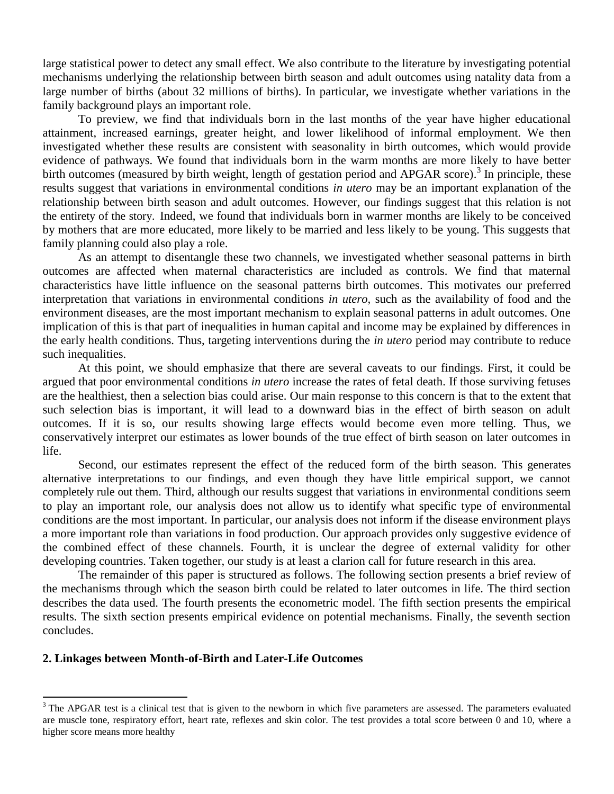large statistical power to detect any small effect. We also contribute to the literature by investigating potential mechanisms underlying the relationship between birth season and adult outcomes using natality data from a large number of births (about 32 millions of births). In particular, we investigate whether variations in the family background plays an important role.

To preview, we find that individuals born in the last months of the year have higher educational attainment, increased earnings, greater height, and lower likelihood of informal employment. We then investigated whether these results are consistent with seasonality in birth outcomes, which would provide evidence of pathways. We found that individuals born in the warm months are more likely to have better birth outcomes (measured by birth weight, length of gestation period and APGAR score).<sup>3</sup> In principle, these results suggest that variations in environmental conditions *in utero* may be an important explanation of the relationship between birth season and adult outcomes. However, our findings suggest that this relation is not the entirety of the story. Indeed, we found that individuals born in warmer months are likely to be conceived by mothers that are more educated, more likely to be married and less likely to be young. This suggests that family planning could also play a role.

As an attempt to disentangle these two channels, we investigated whether seasonal patterns in birth outcomes are affected when maternal characteristics are included as controls. We find that maternal characteristics have little influence on the seasonal patterns birth outcomes. This motivates our preferred interpretation that variations in environmental conditions *in utero,* such as the availability of food and the environment diseases, are the most important mechanism to explain seasonal patterns in adult outcomes. One implication of this is that part of inequalities in human capital and income may be explained by differences in the early health conditions. Thus, targeting interventions during the *in utero* period may contribute to reduce such inequalities.

At this point, we should emphasize that there are several caveats to our findings. First, it could be argued that poor environmental conditions *in utero* increase the rates of fetal death. If those surviving fetuses are the healthiest, then a selection bias could arise. Our main response to this concern is that to the extent that such selection bias is important, it will lead to a downward bias in the effect of birth season on adult outcomes. If it is so, our results showing large effects would become even more telling. Thus, we conservatively interpret our estimates as lower bounds of the true effect of birth season on later outcomes in life.

Second, our estimates represent the effect of the reduced form of the birth season. This generates alternative interpretations to our findings, and even though they have little empirical support, we cannot completely rule out them. Third, although our results suggest that variations in environmental conditions seem to play an important role, our analysis does not allow us to identify what specific type of environmental conditions are the most important. In particular, our analysis does not inform if the disease environment plays a more important role than variations in food production. Our approach provides only suggestive evidence of the combined effect of these channels. Fourth, it is unclear the degree of external validity for other developing countries. Taken together, our study is at least a clarion call for future research in this area.

The remainder of this paper is structured as follows. The following section presents a brief review of the mechanisms through which the season birth could be related to later outcomes in life. The third section describes the data used. The fourth presents the econometric model. The fifth section presents the empirical results. The sixth section presents empirical evidence on potential mechanisms. Finally, the seventh section concludes.

# **2. Linkages between Month-of-Birth and Later-Life Outcomes**

 $\overline{a}$ 

 $3$  The APGAR test is a clinical test that is given to the newborn in which five parameters are assessed. The parameters evaluated are muscle tone, respiratory effort, heart rate, reflexes and skin color. The test provides a total score between 0 and 10, where a higher score means more healthy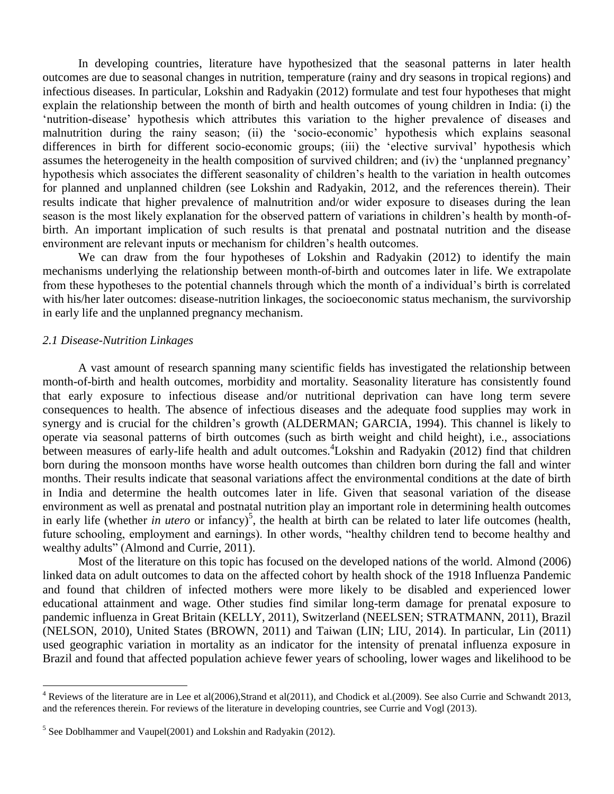In developing countries, literature have hypothesized that the seasonal patterns in later health outcomes are due to seasonal changes in nutrition, temperature (rainy and dry seasons in tropical regions) and infectious diseases. In particular, Lokshin and Radyakin (2012) formulate and test four hypotheses that might explain the relationship between the month of birth and health outcomes of young children in India: (i) the "nutrition-disease" hypothesis which attributes this variation to the higher prevalence of diseases and malnutrition during the rainy season; (ii) the "socio-economic" hypothesis which explains seasonal differences in birth for different socio-economic groups; (iii) the "elective survival" hypothesis which assumes the heterogeneity in the health composition of survived children; and (iv) the "unplanned pregnancy" hypothesis which associates the different seasonality of children"s health to the variation in health outcomes for planned and unplanned children (see Lokshin and Radyakin, 2012, and the references therein). Their results indicate that higher prevalence of malnutrition and/or wider exposure to diseases during the lean season is the most likely explanation for the observed pattern of variations in children's health by month-ofbirth. An important implication of such results is that prenatal and postnatal nutrition and the disease environment are relevant inputs or mechanism for children"s health outcomes.

We can draw from the four hypotheses of Lokshin and Radyakin (2012) to identify the main mechanisms underlying the relationship between month-of-birth and outcomes later in life. We extrapolate from these hypotheses to the potential channels through which the month of a individual"s birth is correlated with his/her later outcomes: disease-nutrition linkages, the socioeconomic status mechanism, the survivorship in early life and the unplanned pregnancy mechanism.

#### *2.1 Disease-Nutrition Linkages*

 $\overline{a}$ 

A vast amount of research spanning many scientific fields has investigated the relationship between month-of-birth and health outcomes, morbidity and mortality. Seasonality literature has consistently found that early exposure to infectious disease and/or nutritional deprivation can have long term severe consequences to health. The absence of infectious diseases and the adequate food supplies may work in synergy and is crucial for the children's growth (ALDERMAN; GARCIA, 1994). This channel is likely to operate via seasonal patterns of birth outcomes (such as birth weight and child height), i.e., associations between measures of early-life health and adult outcomes.<sup>4</sup>Lokshin and Radyakin (2012) find that children born during the monsoon months have worse health outcomes than children born during the fall and winter months. Their results indicate that seasonal variations affect the environmental conditions at the date of birth in India and determine the health outcomes later in life. Given that seasonal variation of the disease environment as well as prenatal and postnatal nutrition play an important role in determining health outcomes in early life (whether *in utero* or infancy)<sup>5</sup>, the health at birth can be related to later life outcomes (health, future schooling, employment and earnings). In other words, "healthy children tend to become healthy and wealthy adults" (Almond and Currie, 2011).

Most of the literature on this topic has focused on the developed nations of the world. Almond (2006) linked data on adult outcomes to data on the affected cohort by health shock of the 1918 Influenza Pandemic and found that children of infected mothers were more likely to be disabled and experienced lower educational attainment and wage. Other studies find similar long-term damage for prenatal exposure to pandemic influenza in Great Britain (KELLY, 2011), Switzerland (NEELSEN; STRATMANN, 2011), Brazil (NELSON, 2010), United States (BROWN, 2011) and Taiwan (LIN; LIU, 2014). In particular, Lin (2011) used geographic variation in mortality as an indicator for the intensity of prenatal influenza exposure in Brazil and found that affected population achieve fewer years of schooling, lower wages and likelihood to be

<sup>4</sup> Reviews of the literature are in Lee et al(2006),Strand et al(2011), and Chodick et al.(2009). See also Currie and Schwandt 2013, and the references therein. For reviews of the literature in developing countries, see Currie and Vogl (2013).

 $<sup>5</sup>$  See Doblhammer and Vaupel(2001) and Lokshin and Radyakin (2012).</sup>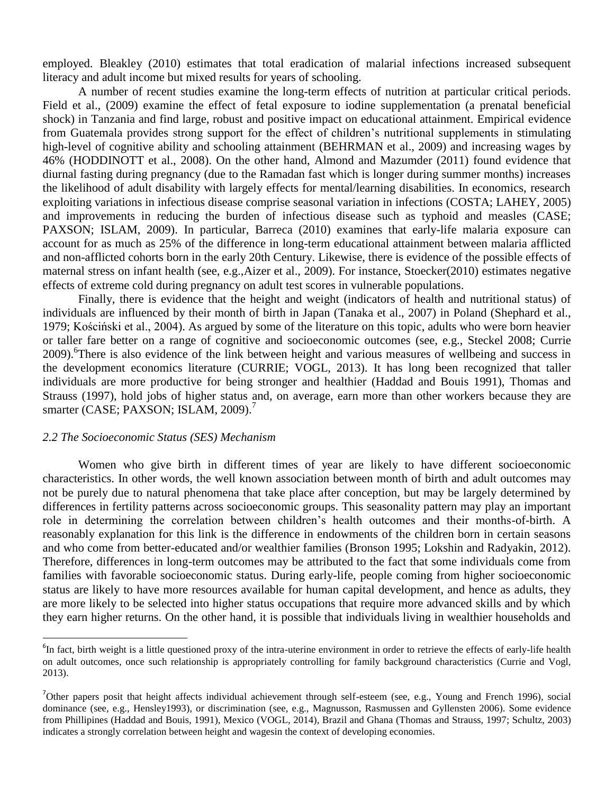employed. Bleakley (2010) estimates that total eradication of malarial infections increased subsequent literacy and adult income but mixed results for years of schooling.

A number of recent studies examine the long-term effects of nutrition at particular critical periods. Field et al., (2009) examine the effect of fetal exposure to iodine supplementation (a prenatal beneficial shock) in Tanzania and find large, robust and positive impact on educational attainment. Empirical evidence from Guatemala provides strong support for the effect of children"s nutritional supplements in stimulating high-level of cognitive ability and schooling attainment (BEHRMAN et al., 2009) and increasing wages by 46% (HODDINOTT et al., 2008). On the other hand, Almond and Mazumder (2011) found evidence that diurnal fasting during pregnancy (due to the Ramadan fast which is longer during summer months) increases the likelihood of adult disability with largely effects for mental/learning disabilities. In economics, research exploiting variations in infectious disease comprise seasonal variation in infections (COSTA; LAHEY, 2005) and improvements in reducing the burden of infectious disease such as typhoid and measles (CASE; PAXSON; ISLAM, 2009). In particular, Barreca (2010) examines that early-life malaria exposure can account for as much as 25% of the difference in long-term educational attainment between malaria afflicted and non-afflicted cohorts born in the early 20th Century. Likewise, there is evidence of the possible effects of maternal stress on infant health (see, e.g.,Aizer et al., 2009). For instance, Stoecker(2010) estimates negative effects of extreme cold during pregnancy on adult test scores in vulnerable populations.

Finally, there is evidence that the height and weight (indicators of health and nutritional status) of individuals are influenced by their month of birth in Japan (Tanaka et al., 2007) in Poland (Shephard et al., 1979; Kościński et al., 2004). As argued by some of the literature on this topic, adults who were born heavier or taller fare better on a range of cognitive and socioeconomic outcomes (see, e.g., Steckel 2008; Currie 2009). <sup>6</sup>There is also evidence of the link between height and various measures of wellbeing and success in the development economics literature (CURRIE; VOGL, 2013). It has long been recognized that taller individuals are more productive for being stronger and healthier (Haddad and Bouis 1991), Thomas and Strauss (1997), hold jobs of higher status and, on average, earn more than other workers because they are smarter (CASE; PAXSON; ISLAM, 2009).<sup>7</sup>

## *2.2 The Socioeconomic Status (SES) Mechanism*

 $\overline{a}$ 

Women who give birth in different times of year are likely to have different socioeconomic characteristics. In other words, the well known association between month of birth and adult outcomes may not be purely due to natural phenomena that take place after conception, but may be largely determined by differences in fertility patterns across socioeconomic groups. This seasonality pattern may play an important role in determining the correlation between children"s health outcomes and their months-of-birth. A reasonably explanation for this link is the difference in endowments of the children born in certain seasons and who come from better-educated and/or wealthier families (Bronson 1995; Lokshin and Radyakin, 2012). Therefore, differences in long-term outcomes may be attributed to the fact that some individuals come from families with favorable socioeconomic status. During early-life, people coming from higher socioeconomic status are likely to have more resources available for human capital development, and hence as adults, they are more likely to be selected into higher status occupations that require more advanced skills and by which they earn higher returns. On the other hand, it is possible that individuals living in wealthier households and

 ${}^{6}$ In fact, birth weight is a little questioned proxy of the intra-uterine environment in order to retrieve the effects of early-life health on adult outcomes, once such relationship is appropriately controlling for family background characteristics (Currie and Vogl, 2013).

<sup>&</sup>lt;sup>7</sup>Other papers posit that height affects individual achievement through self-esteem (see, e.g., Young and French 1996), social dominance (see, e.g., Hensley1993), or discrimination (see, e.g., Magnusson, Rasmussen and Gyllensten 2006). Some evidence from Phillipines (Haddad and Bouis, 1991), Mexico (VOGL, 2014), Brazil and Ghana (Thomas and Strauss, 1997; Schultz, 2003) indicates a strongly correlation between height and wagesin the context of developing economies.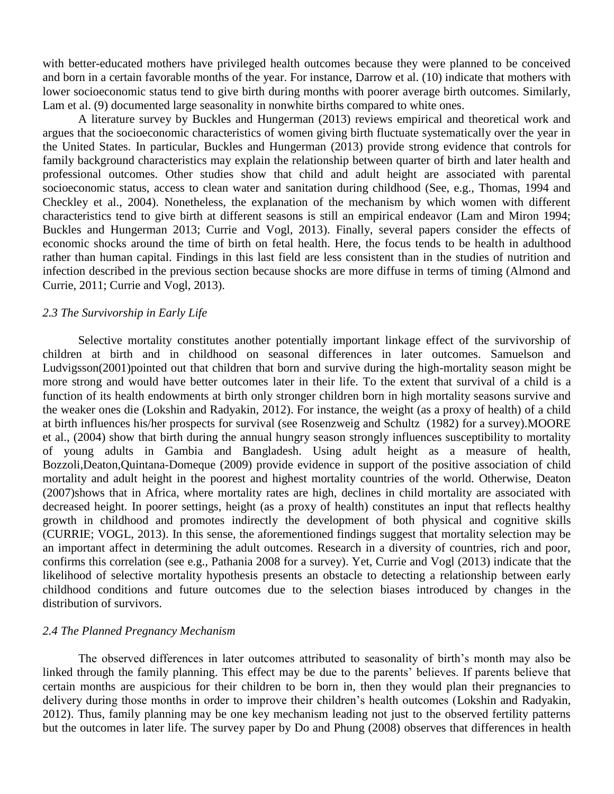with better-educated mothers have privileged health outcomes because they were planned to be conceived and born in a certain favorable months of the year. For instance, Darrow et al. (10) indicate that mothers with lower socioeconomic status tend to give birth during months with poorer average birth outcomes. Similarly, Lam et al. (9) documented large seasonality in nonwhite births compared to white ones.

A literature survey by Buckles and Hungerman (2013) reviews empirical and theoretical work and argues that the socioeconomic characteristics of women giving birth fluctuate systematically over the year in the United States. In particular, Buckles and Hungerman (2013) provide strong evidence that controls for family background characteristics may explain the relationship between quarter of birth and later health and professional outcomes. Other studies show that child and adult height are associated with parental socioeconomic status, access to clean water and sanitation during childhood (See, e.g., Thomas, 1994 and Checkley et al., 2004). Nonetheless, the explanation of the mechanism by which women with different characteristics tend to give birth at different seasons is still an empirical endeavor (Lam and Miron 1994; Buckles and Hungerman 2013; Currie and Vogl, 2013). Finally, several papers consider the effects of economic shocks around the time of birth on fetal health. Here, the focus tends to be health in adulthood rather than human capital. Findings in this last field are less consistent than in the studies of nutrition and infection described in the previous section because shocks are more diffuse in terms of timing (Almond and Currie, 2011; Currie and Vogl, 2013).

#### *2.3 The Survivorship in Early Life*

Selective mortality constitutes another potentially important linkage effect of the survivorship of children at birth and in childhood on seasonal differences in later outcomes. Samuelson and Ludvigsson(2001)pointed out that children that born and survive during the high-mortality season might be more strong and would have better outcomes later in their life. To the extent that survival of a child is a function of its health endowments at birth only stronger children born in high mortality seasons survive and the weaker ones die (Lokshin and Radyakin, 2012). For instance, the weight (as a proxy of health) of a child at birth influences his/her prospects for survival (see Rosenzweig and Schultz (1982) for a survey).MOORE et al., (2004) show that birth during the annual hungry season strongly influences susceptibility to mortality of young adults in Gambia and Bangladesh. Using adult height as a measure of health, Bozzoli,Deaton,Quintana-Domeque (2009) provide evidence in support of the positive association of child mortality and adult height in the poorest and highest mortality countries of the world. Otherwise, Deaton (2007)shows that in Africa, where mortality rates are high, declines in child mortality are associated with decreased height. In poorer settings, height (as a proxy of health) constitutes an input that reflects healthy growth in childhood and promotes indirectly the development of both physical and cognitive skills (CURRIE; VOGL, 2013). In this sense, the aforementioned findings suggest that mortality selection may be an important affect in determining the adult outcomes. Research in a diversity of countries, rich and poor, confirms this correlation (see e.g., Pathania 2008 for a survey). Yet, Currie and Vogl (2013) indicate that the likelihood of selective mortality hypothesis presents an obstacle to detecting a relationship between early childhood conditions and future outcomes due to the selection biases introduced by changes in the distribution of survivors.

# *2.4 The Planned Pregnancy Mechanism*

The observed differences in later outcomes attributed to seasonality of birth"s month may also be linked through the family planning. This effect may be due to the parents' believes. If parents believe that certain months are auspicious for their children to be born in, then they would plan their pregnancies to delivery during those months in order to improve their children"s health outcomes (Lokshin and Radyakin, 2012). Thus, family planning may be one key mechanism leading not just to the observed fertility patterns but the outcomes in later life. The survey paper by Do and Phung (2008) observes that differences in health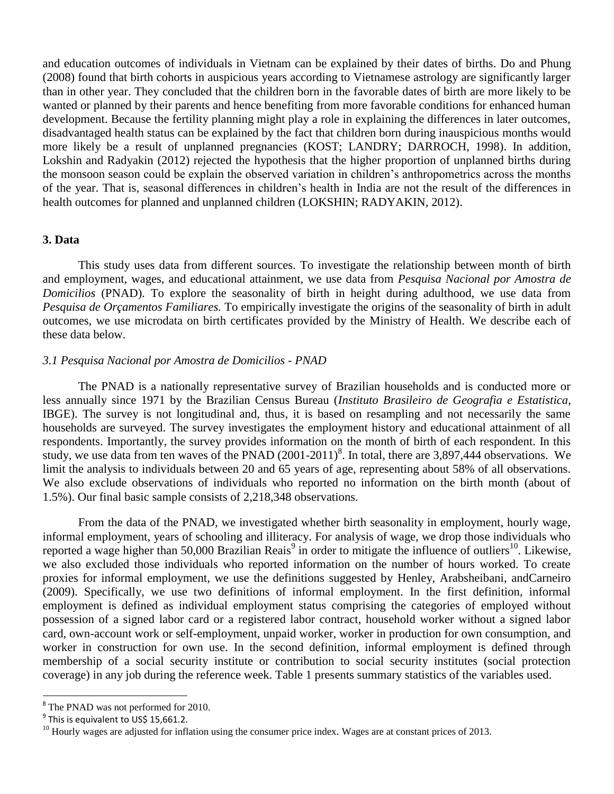and education outcomes of individuals in Vietnam can be explained by their dates of births. Do and Phung (2008) found that birth cohorts in auspicious years according to Vietnamese astrology are significantly larger than in other year. They concluded that the children born in the favorable dates of birth are more likely to be wanted or planned by their parents and hence benefiting from more favorable conditions for enhanced human development. Because the fertility planning might play a role in explaining the differences in later outcomes, disadvantaged health status can be explained by the fact that children born during inauspicious months would more likely be a result of unplanned pregnancies (KOST; LANDRY; DARROCH, 1998). In addition, Lokshin and Radyakin (2012) rejected the hypothesis that the higher proportion of unplanned births during the monsoon season could be explain the observed variation in children"s anthropometrics across the months of the year. That is, seasonal differences in children"s health in India are not the result of the differences in health outcomes for planned and unplanned children (LOKSHIN; RADYAKIN, 2012).

# **3. Data**

This study uses data from different sources. To investigate the relationship between month of birth and employment, wages, and educational attainment, we use data from *Pesquisa Nacional por Amostra de Domicilios* (PNAD). To explore the seasonality of birth in height during adulthood, we use data from *Pesquisa de Orçamentos Familiares.* To empirically investigate the origins of the seasonality of birth in adult outcomes, we use microdata on birth certificates provided by the Ministry of Health. We describe each of these data below.

# *3.1 Pesquisa Nacional por Amostra de Domicilios - PNAD*

The PNAD is a nationally representative survey of Brazilian households and is conducted more or less annually since 1971 by the Brazilian Census Bureau (*Instituto Brasileiro de Geografia e Estatistica*, IBGE). The survey is not longitudinal and, thus, it is based on resampling and not necessarily the same households are surveyed. The survey investigates the employment history and educational attainment of all respondents. Importantly, the survey provides information on the month of birth of each respondent. In this study, we use data from ten waves of the PNAD (2001-2011)<sup>8</sup>. In total, there are 3,897,444 observations. We limit the analysis to individuals between 20 and 65 years of age, representing about 58% of all observations. We also exclude observations of individuals who reported no information on the birth month (about of 1.5%). Our final basic sample consists of 2,218,348 observations.

From the data of the PNAD, we investigated whether birth seasonality in employment, hourly wage, informal employment, years of schooling and illiteracy. For analysis of wage, we drop those individuals who reported a wage higher than 50,000 Brazilian Reais<sup>9</sup> in order to mitigate the influence of outliers<sup>10</sup>. Likewise, we also excluded those individuals who reported information on the number of hours worked. To create proxies for informal employment, we use the definitions suggested by Henley, Arabsheibani, andCarneiro (2009). Specifically, we use two definitions of informal employment. In the first definition, informal employment is defined as individual employment status comprising the categories of employed without possession of a signed labor card or a registered labor contract, household worker without a signed labor card, own-account work or self-employment, unpaid worker, worker in production for own consumption, and worker in construction for own use. In the second definition, informal employment is defined through membership of a social security institute or contribution to social security institutes (social protection coverage) in any job during the reference week. Table 1 presents summary statistics of the variables used.

 $\overline{a}$ 

<sup>&</sup>lt;sup>8</sup> The PNAD was not performed for 2010.

<sup>&</sup>lt;sup>9</sup> This is equivalent to US\$ 15,661.2.

 $10$  Hourly wages are adjusted for inflation using the consumer price index. Wages are at constant prices of 2013.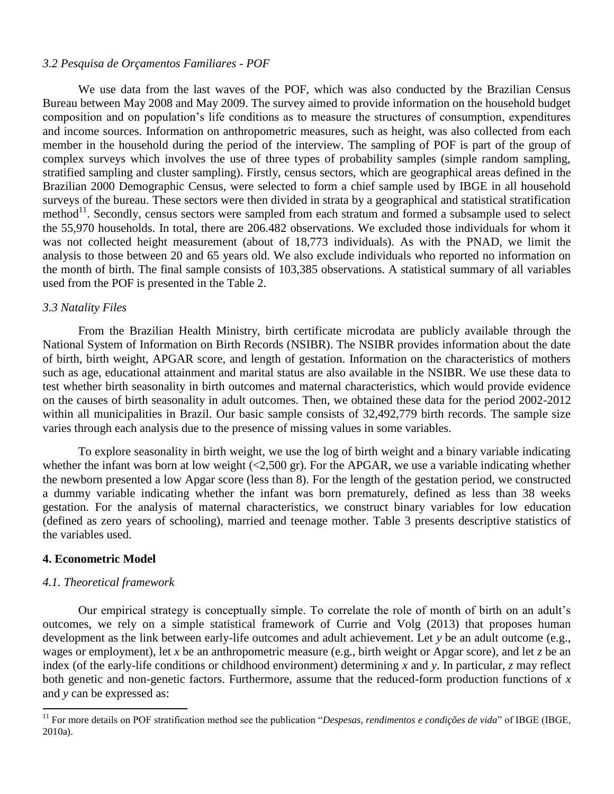# *3.2 Pesquisa de Orçamentos Familiares - POF*

We use data from the last waves of the POF, which was also conducted by the Brazilian Census Bureau between May 2008 and May 2009. The survey aimed to provide information on the household budget composition and on population"s life conditions as to measure the structures of consumption, expenditures and income sources. Information on anthropometric measures, such as height, was also collected from each member in the household during the period of the interview. The sampling of POF is part of the group of complex surveys which involves the use of three types of probability samples (simple random sampling, stratified sampling and cluster sampling). Firstly, census sectors, which are geographical areas defined in the Brazilian 2000 Demographic Census, were selected to form a chief sample used by IBGE in all household surveys of the bureau. These sectors were then divided in strata by a geographical and statistical stratification method $^{11}$ . Secondly, census sectors were sampled from each stratum and formed a subsample used to select the 55,970 households. In total, there are 206.482 observations. We excluded those individuals for whom it was not collected height measurement (about of 18,773 individuals). As with the PNAD, we limit the analysis to those between 20 and 65 years old. We also exclude individuals who reported no information on the month of birth. The final sample consists of 103,385 observations. A statistical summary of all variables used from the POF is presented in the Table 2.

# *3.3 Natality Files*

From the Brazilian Health Ministry, birth certificate microdata are publicly available through the National System of Information on Birth Records (NSIBR). The NSIBR provides information about the date of birth, birth weight, APGAR score, and length of gestation. Information on the characteristics of mothers such as age, educational attainment and marital status are also available in the NSIBR. We use these data to test whether birth seasonality in birth outcomes and maternal characteristics, which would provide evidence on the causes of birth seasonality in adult outcomes. Then, we obtained these data for the period 2002-2012 within all municipalities in Brazil. Our basic sample consists of 32,492,779 birth records. The sample size varies through each analysis due to the presence of missing values in some variables.

To explore seasonality in birth weight, we use the log of birth weight and a binary variable indicating whether the infant was born at low weight  $\langle 2,500 \text{ gr} \rangle$ . For the APGAR, we use a variable indicating whether the newborn presented a low Apgar score (less than 8). For the length of the gestation period, we constructed a dummy variable indicating whether the infant was born prematurely, defined as less than 38 weeks gestation. For the analysis of maternal characteristics, we construct binary variables for low education (defined as zero years of schooling), married and teenage mother. Table 3 presents descriptive statistics of the variables used.

# **4. Econometric Model**

 $\overline{a}$ 

### *4.1. Theoretical framework*

Our empirical strategy is conceptually simple. To correlate the role of month of birth on an adult"s outcomes, we rely on a simple statistical framework of Currie and Volg (2013) that proposes human development as the link between early-life outcomes and adult achievement. Let *y* be an adult outcome (e.g., wages or employment), let *x* be an anthropometric measure (e.g., birth weight or Apgar score), and let *z* be an index (of the early-life conditions or childhood environment) determining *x* and *y*. In particular, *z* may reflect both genetic and non-genetic factors. Furthermore, assume that the reduced-form production functions of *x* and *y* can be expressed as:

<sup>&</sup>lt;sup>11</sup> For more details on POF stratification method see the publication "*Despesas, rendimentos e condições de vida*" of IBGE (IBGE, 2010a).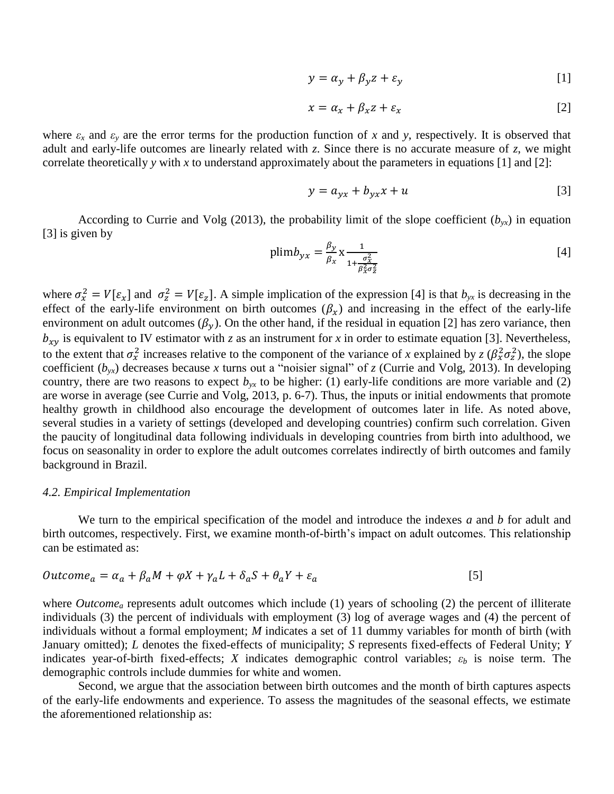$$
y = \alpha_y + \beta_y z + \varepsilon_y \tag{1}
$$

$$
x = \alpha_x + \beta_x z + \varepsilon_x \tag{2}
$$

where  $\varepsilon_x$  and  $\varepsilon_y$  are the error terms for the production function of *x* and *y*, respectively. It is observed that adult and early-life outcomes are linearly related with *z*. Since there is no accurate measure of *z*, we might correlate theoretically *y* with *x* to understand approximately about the parameters in equations [1] and [2]:

$$
y = a_{\gamma x} + b_{\gamma x} x + u \tag{3}
$$

According to Currie and Volg (2013), the probability limit of the slope coefficient  $(b_{yx})$  in equation [3] is given by

$$
plimb_{yx} = \frac{\beta_y}{\beta_x} x \frac{1}{1 + \frac{\sigma_x^2}{\beta_x^2 \sigma_z^2}}
$$
 [4]

where  $\sigma_x^2 = V[\epsilon_x]$  and  $\sigma_z^2 = V[\epsilon_z]$ . A simple implication of the expression [4] is that  $b_{yx}$  is decreasing in the effect of the early-life environment on birth outcomes  $(\beta_x)$  and increasing in the effect of the early-life environment on adult outcomes ( $\beta_y$ ). On the other hand, if the residual in equation [2] has zero variance, then  $b_{xy}$  is equivalent to IV estimator with *z* as an instrument for *x* in order to estimate equation [3]. Nevertheless, to the extent that  $\sigma_x^2$  increases relative to the component of the variance of *x* explained by  $z(\beta_x^2 \sigma_z^2)$ , the slope coefficient  $(b_{yx})$  decreases because x turns out a "noisier signal" of z (Currie and Volg, 2013). In developing country, there are two reasons to expect  $b_{yx}$  to be higher: (1) early-life conditions are more variable and (2) are worse in average (see Currie and Volg, 2013, p. 6-7). Thus, the inputs or initial endowments that promote healthy growth in childhood also encourage the development of outcomes later in life. As noted above, several studies in a variety of settings (developed and developing countries) confirm such correlation. Given the paucity of longitudinal data following individuals in developing countries from birth into adulthood, we focus on seasonality in order to explore the adult outcomes correlates indirectly of birth outcomes and family background in Brazil.

#### *4.2. Empirical Implementation*

We turn to the empirical specification of the model and introduce the indexes *a* and *b* for adult and birth outcomes, respectively. First, we examine month-of-birth"s impact on adult outcomes. This relationship can be estimated as:

$$
Outcome_a = \alpha_a + \beta_a M + \varphi X + \gamma_a L + \delta_a S + \theta_a Y + \varepsilon_a
$$
\n<sup>(5)</sup>

where *Outcome*<sub>a</sub> represents adult outcomes which include (1) years of schooling (2) the percent of illiterate individuals (3) the percent of individuals with employment (3) log of average wages and (4) the percent of individuals without a formal employment; *M* indicates a set of 11 dummy variables for month of birth (with January omitted); *L* denotes the fixed-effects of municipality; *S* represents fixed-effects of Federal Unity; *Y*  indicates year-of-birth fixed-effects; *X* indicates demographic control variables; *ε<sup>b</sup>* is noise term. The demographic controls include dummies for white and women.

Second, we argue that the association between birth outcomes and the month of birth captures aspects of the early-life endowments and experience. To assess the magnitudes of the seasonal effects, we estimate the aforementioned relationship as: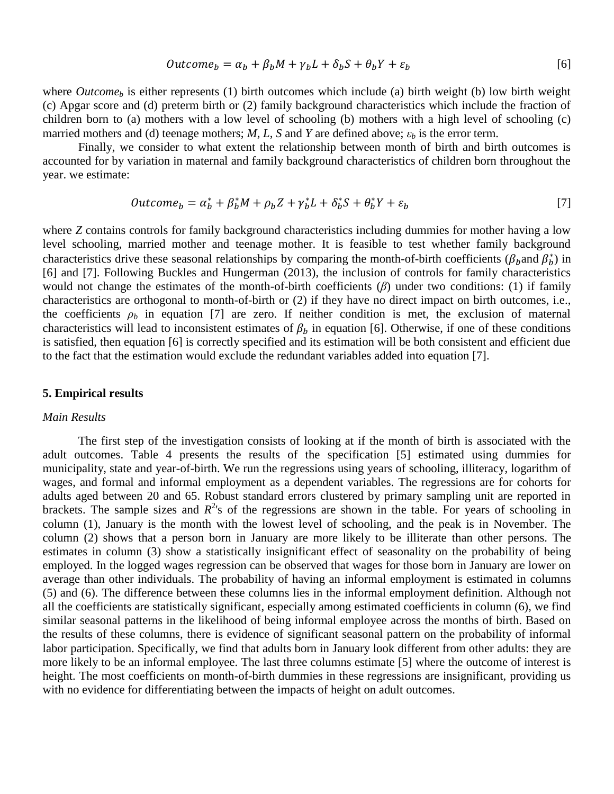$$
Outcome_b = \alpha_b + \beta_b M + \gamma_b L + \delta_b S + \theta_b Y + \varepsilon_b
$$
\n<sup>(6)</sup>

where *Outcome<sub>b</sub>* is either represents (1) birth outcomes which include (a) birth weight (b) low birth weight (c) Apgar score and (d) preterm birth or (2) family background characteristics which include the fraction of children born to (a) mothers with a low level of schooling (b) mothers with a high level of schooling (c) married mothers and (d) teenage mothers; *M*, *L*, *S* and *Y* are defined above;  $\varepsilon_b$  is the error term.

Finally, we consider to what extent the relationship between month of birth and birth outcomes is accounted for by variation in maternal and family background characteristics of children born throughout the year. we estimate:

$$
Outcome_b = \alpha_b^* + \beta_b^* M + \rho_b Z + \gamma_b^* L + \delta_b^* S + \theta_b^* Y + \varepsilon_b \tag{7}
$$

where *Z* contains controls for family background characteristics including dummies for mother having a low level schooling, married mother and teenage mother. It is feasible to test whether family background characteristics drive these seasonal relationships by comparing the month-of-birth coefficients ( $\beta_b$  and  $\beta_b^*$ ) in [6] and [7]. Following Buckles and Hungerman (2013), the inclusion of controls for family characteristics would not change the estimates of the month-of-birth coefficients (*β*) under two conditions: (1) if family characteristics are orthogonal to month-of-birth or (2) if they have no direct impact on birth outcomes, i.e., the coefficients  $\rho_b$  in equation [7] are zero. If neither condition is met, the exclusion of maternal characteristics will lead to inconsistent estimates of  $\beta_b$  in equation [6]. Otherwise, if one of these conditions is satisfied, then equation [6] is correctly specified and its estimation will be both consistent and efficient due to the fact that the estimation would exclude the redundant variables added into equation [7].

### **5. Empirical results**

# *Main Results*

The first step of the investigation consists of looking at if the month of birth is associated with the adult outcomes. Table 4 presents the results of the specification [5] estimated using dummies for municipality, state and year-of-birth. We run the regressions using years of schooling, illiteracy, logarithm of wages, and formal and informal employment as a dependent variables. The regressions are for cohorts for adults aged between 20 and 65. Robust standard errors clustered by primary sampling unit are reported in brackets. The sample sizes and  $R^2$ 's of the regressions are shown in the table. For years of schooling in column (1), January is the month with the lowest level of schooling, and the peak is in November. The column (2) shows that a person born in January are more likely to be illiterate than other persons. The estimates in column (3) show a statistically insignificant effect of seasonality on the probability of being employed. In the logged wages regression can be observed that wages for those born in January are lower on average than other individuals. The probability of having an informal employment is estimated in columns (5) and (6). The difference between these columns lies in the informal employment definition. Although not all the coefficients are statistically significant, especially among estimated coefficients in column (6), we find similar seasonal patterns in the likelihood of being informal employee across the months of birth. Based on the results of these columns, there is evidence of significant seasonal pattern on the probability of informal labor participation. Specifically, we find that adults born in January look different from other adults: they are more likely to be an informal employee. The last three columns estimate [5] where the outcome of interest is height. The most coefficients on month-of-birth dummies in these regressions are insignificant, providing us with no evidence for differentiating between the impacts of height on adult outcomes.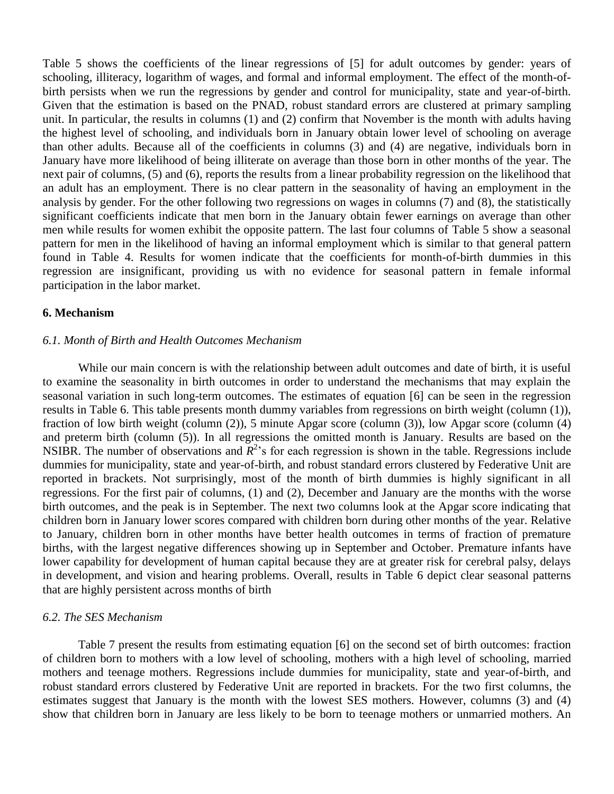Table 5 shows the coefficients of the linear regressions of [5] for adult outcomes by gender: years of schooling, illiteracy, logarithm of wages, and formal and informal employment. The effect of the month-ofbirth persists when we run the regressions by gender and control for municipality, state and year-of-birth. Given that the estimation is based on the PNAD, robust standard errors are clustered at primary sampling unit. In particular, the results in columns (1) and (2) confirm that November is the month with adults having the highest level of schooling, and individuals born in January obtain lower level of schooling on average than other adults. Because all of the coefficients in columns (3) and (4) are negative, individuals born in January have more likelihood of being illiterate on average than those born in other months of the year. The next pair of columns, (5) and (6), reports the results from a linear probability regression on the likelihood that an adult has an employment. There is no clear pattern in the seasonality of having an employment in the analysis by gender. For the other following two regressions on wages in columns (7) and (8), the statistically significant coefficients indicate that men born in the January obtain fewer earnings on average than other men while results for women exhibit the opposite pattern. The last four columns of Table 5 show a seasonal pattern for men in the likelihood of having an informal employment which is similar to that general pattern found in Table 4. Results for women indicate that the coefficients for month-of-birth dummies in this regression are insignificant, providing us with no evidence for seasonal pattern in female informal participation in the labor market.

## **6. Mechanism**

## *6.1. Month of Birth and Health Outcomes Mechanism*

While our main concern is with the relationship between adult outcomes and date of birth, it is useful to examine the seasonality in birth outcomes in order to understand the mechanisms that may explain the seasonal variation in such long-term outcomes. The estimates of equation [6] can be seen in the regression results in Table 6. This table presents month dummy variables from regressions on birth weight (column (1)), fraction of low birth weight (column (2)), 5 minute Apgar score (column (3)), low Apgar score (column (4) and preterm birth (column (5)). In all regressions the omitted month is January. Results are based on the NSIBR. The number of observations and  $\overline{R}^2$ 's for each regression is shown in the table. Regressions include dummies for municipality, state and year-of-birth, and robust standard errors clustered by Federative Unit are reported in brackets. Not surprisingly, most of the month of birth dummies is highly significant in all regressions. For the first pair of columns, (1) and (2), December and January are the months with the worse birth outcomes, and the peak is in September. The next two columns look at the Apgar score indicating that children born in January lower scores compared with children born during other months of the year. Relative to January, children born in other months have better health outcomes in terms of fraction of premature births, with the largest negative differences showing up in September and October. Premature infants have lower capability for development of human capital because they are at greater risk for cerebral palsy, delays in development, and vision and hearing problems. Overall, results in Table 6 depict clear seasonal patterns that are highly persistent across months of birth

# *6.2. The SES Mechanism*

Table 7 present the results from estimating equation [6] on the second set of birth outcomes: fraction of children born to mothers with a low level of schooling, mothers with a high level of schooling, married mothers and teenage mothers. Regressions include dummies for municipality, state and year-of-birth, and robust standard errors clustered by Federative Unit are reported in brackets. For the two first columns, the estimates suggest that January is the month with the lowest SES mothers. However, columns (3) and (4) show that children born in January are less likely to be born to teenage mothers or unmarried mothers. An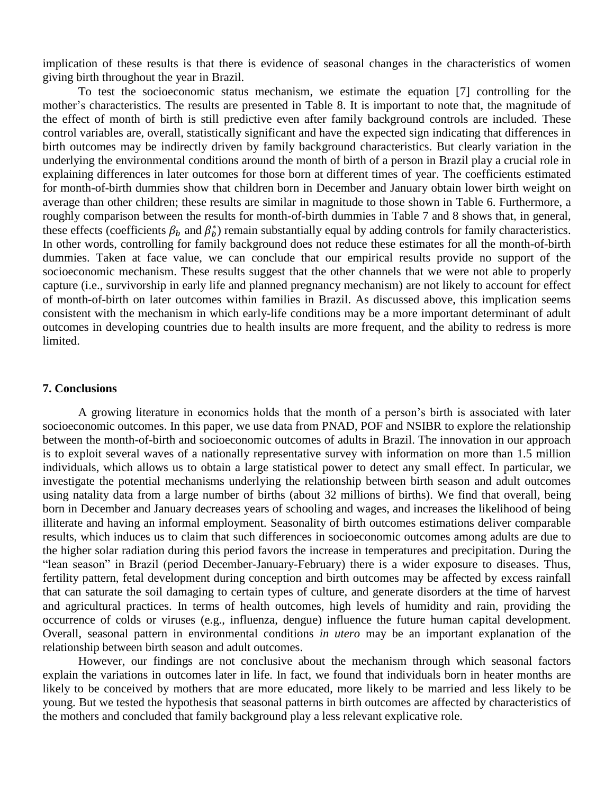implication of these results is that there is evidence of seasonal changes in the characteristics of women giving birth throughout the year in Brazil.

To test the socioeconomic status mechanism, we estimate the equation [7] controlling for the mother's characteristics. The results are presented in Table 8. It is important to note that, the magnitude of the effect of month of birth is still predictive even after family background controls are included. These control variables are, overall, statistically significant and have the expected sign indicating that differences in birth outcomes may be indirectly driven by family background characteristics. But clearly variation in the underlying the environmental conditions around the month of birth of a person in Brazil play a crucial role in explaining differences in later outcomes for those born at different times of year. The coefficients estimated for month-of-birth dummies show that children born in December and January obtain lower birth weight on average than other children; these results are similar in magnitude to those shown in Table 6. Furthermore, a roughly comparison between the results for month-of-birth dummies in Table 7 and 8 shows that, in general, these effects (coefficients  $\beta_b$  and  $\beta_b^*$ ) remain substantially equal by adding controls for family characteristics. In other words, controlling for family background does not reduce these estimates for all the month-of-birth dummies. Taken at face value, we can conclude that our empirical results provide no support of the socioeconomic mechanism. These results suggest that the other channels that we were not able to properly capture (i.e., survivorship in early life and planned pregnancy mechanism) are not likely to account for effect of month-of-birth on later outcomes within families in Brazil. As discussed above, this implication seems consistent with the mechanism in which early-life conditions may be a more important determinant of adult outcomes in developing countries due to health insults are more frequent, and the ability to redress is more limited.

### **7. Conclusions**

A growing literature in economics holds that the month of a person"s birth is associated with later socioeconomic outcomes. In this paper, we use data from PNAD, POF and NSIBR to explore the relationship between the month-of-birth and socioeconomic outcomes of adults in Brazil. The innovation in our approach is to exploit several waves of a nationally representative survey with information on more than 1.5 million individuals, which allows us to obtain a large statistical power to detect any small effect. In particular, we investigate the potential mechanisms underlying the relationship between birth season and adult outcomes using natality data from a large number of births (about 32 millions of births). We find that overall, being born in December and January decreases years of schooling and wages, and increases the likelihood of being illiterate and having an informal employment. Seasonality of birth outcomes estimations deliver comparable results, which induces us to claim that such differences in socioeconomic outcomes among adults are due to the higher solar radiation during this period favors the increase in temperatures and precipitation. During the "lean season" in Brazil (period December-January-February) there is a wider exposure to diseases. Thus, fertility pattern, fetal development during conception and birth outcomes may be affected by excess rainfall that can saturate the soil damaging to certain types of culture, and generate disorders at the time of harvest and agricultural practices. In terms of health outcomes, high levels of humidity and rain, providing the occurrence of colds or viruses (e.g., influenza, dengue) influence the future human capital development. Overall, seasonal pattern in environmental conditions *in utero* may be an important explanation of the relationship between birth season and adult outcomes.

However, our findings are not conclusive about the mechanism through which seasonal factors explain the variations in outcomes later in life. In fact, we found that individuals born in heater months are likely to be conceived by mothers that are more educated, more likely to be married and less likely to be young. But we tested the hypothesis that seasonal patterns in birth outcomes are affected by characteristics of the mothers and concluded that family background play a less relevant explicative role.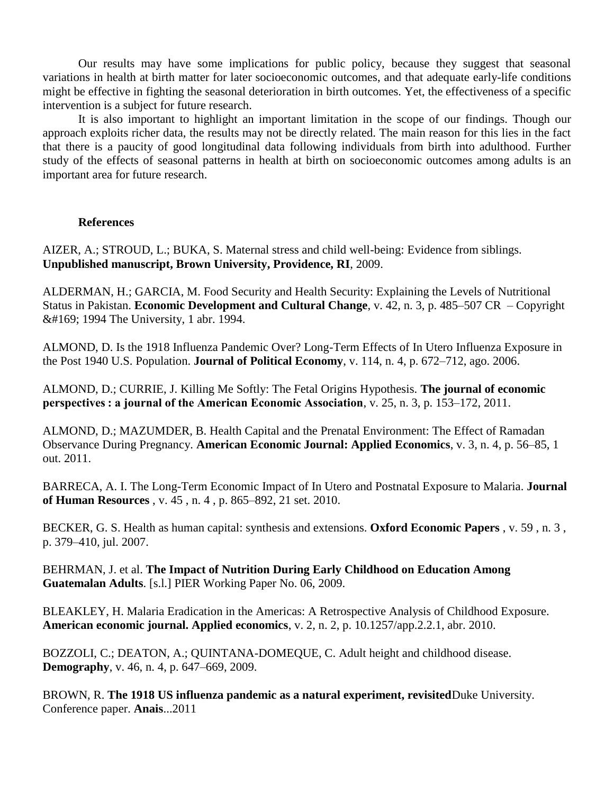Our results may have some implications for public policy, because they suggest that seasonal variations in health at birth matter for later socioeconomic outcomes, and that adequate early-life conditions might be effective in fighting the seasonal deterioration in birth outcomes. Yet, the effectiveness of a specific intervention is a subject for future research.

It is also important to highlight an important limitation in the scope of our findings. Though our approach exploits richer data, the results may not be directly related. The main reason for this lies in the fact that there is a paucity of good longitudinal data following individuals from birth into adulthood. Further study of the effects of seasonal patterns in health at birth on socioeconomic outcomes among adults is an important area for future research.

# **References**

AIZER, A.; STROUD, L.; BUKA, S. Maternal stress and child well-being: Evidence from siblings. **Unpublished manuscript, Brown University, Providence, RI**, 2009.

ALDERMAN, H.; GARCIA, M. Food Security and Health Security: Explaining the Levels of Nutritional Status in Pakistan. **Economic Development and Cultural Change**, v. 42, n. 3, p. 485–507 CR – Copyright © 1994 The University, 1 abr. 1994.

ALMOND, D. Is the 1918 Influenza Pandemic Over? Long-Term Effects of In Utero Influenza Exposure in the Post 1940 U.S. Population. **Journal of Political Economy**, v. 114, n. 4, p. 672–712, ago. 2006.

ALMOND, D.; CURRIE, J. Killing Me Softly: The Fetal Origins Hypothesis. **The journal of economic perspectives : a journal of the American Economic Association**, v. 25, n. 3, p. 153–172, 2011.

ALMOND, D.; MAZUMDER, B. Health Capital and the Prenatal Environment: The Effect of Ramadan Observance During Pregnancy. **American Economic Journal: Applied Economics**, v. 3, n. 4, p. 56–85, 1 out. 2011.

BARRECA, A. I. The Long-Term Economic Impact of In Utero and Postnatal Exposure to Malaria. **Journal of Human Resources** , v. 45 , n. 4 , p. 865–892, 21 set. 2010.

BECKER, G. S. Health as human capital: synthesis and extensions. **Oxford Economic Papers** , v. 59 , n. 3 , p. 379–410, jul. 2007.

BEHRMAN, J. et al. **The Impact of Nutrition During Early Childhood on Education Among Guatemalan Adults**. [s.l.] PIER Working Paper No. 06, 2009.

BLEAKLEY, H. Malaria Eradication in the Americas: A Retrospective Analysis of Childhood Exposure. **American economic journal. Applied economics**, v. 2, n. 2, p. 10.1257/app.2.2.1, abr. 2010.

BOZZOLI, C.; DEATON, A.; QUINTANA-DOMEQUE, C. Adult height and childhood disease. **Demography**, v. 46, n. 4, p. 647–669, 2009.

BROWN, R. **The 1918 US influenza pandemic as a natural experiment, revisited**Duke University. Conference paper. **Anais**...2011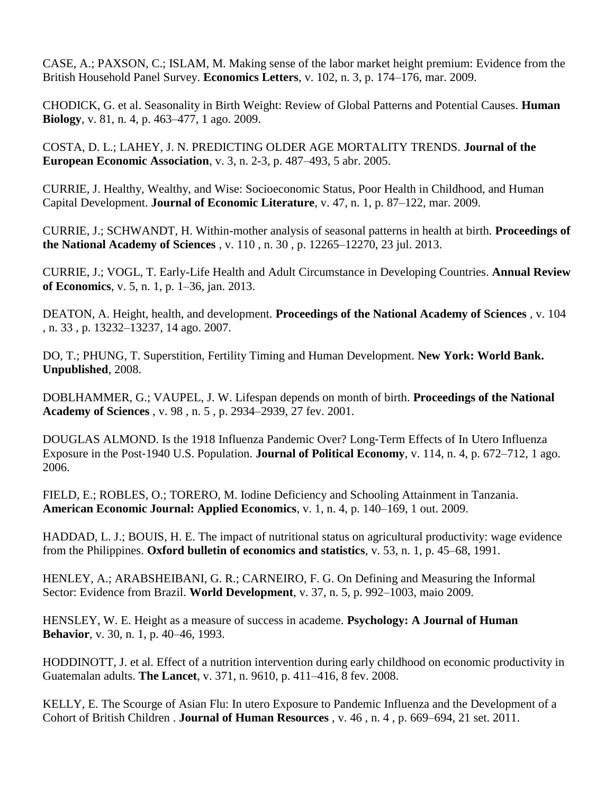CASE, A.; PAXSON, C.; ISLAM, M. Making sense of the labor market height premium: Evidence from the British Household Panel Survey. **Economics Letters**, v. 102, n. 3, p. 174–176, mar. 2009.

CHODICK, G. et al. Seasonality in Birth Weight: Review of Global Patterns and Potential Causes. **Human Biology**, v. 81, n. 4, p. 463–477, 1 ago. 2009.

COSTA, D. L.; LAHEY, J. N. PREDICTING OLDER AGE MORTALITY TRENDS. **Journal of the European Economic Association**, v. 3, n. 2-3, p. 487–493, 5 abr. 2005.

CURRIE, J. Healthy, Wealthy, and Wise: Socioeconomic Status, Poor Health in Childhood, and Human Capital Development. **Journal of Economic Literature**, v. 47, n. 1, p. 87–122, mar. 2009.

CURRIE, J.; SCHWANDT, H. Within-mother analysis of seasonal patterns in health at birth. **Proceedings of the National Academy of Sciences** , v. 110 , n. 30 , p. 12265–12270, 23 jul. 2013.

CURRIE, J.; VOGL, T. Early-Life Health and Adult Circumstance in Developing Countries. **Annual Review of Economics**, v. 5, n. 1, p. 1–36, jan. 2013.

DEATON, A. Height, health, and development. **Proceedings of the National Academy of Sciences** , v. 104 , n. 33 , p. 13232–13237, 14 ago. 2007.

DO, T.; PHUNG, T. Superstition, Fertility Timing and Human Development. **New York: World Bank. Unpublished**, 2008.

DOBLHAMMER, G.; VAUPEL, J. W. Lifespan depends on month of birth. **Proceedings of the National Academy of Sciences** , v. 98 , n. 5 , p. 2934–2939, 27 fev. 2001.

DOUGLAS ALMOND. Is the 1918 Influenza Pandemic Over? Long‐Term Effects of In Utero Influenza Exposure in the Post‐1940 U.S. Population. **Journal of Political Economy**, v. 114, n. 4, p. 672–712, 1 ago. 2006.

FIELD, E.; ROBLES, O.; TORERO, M. Iodine Deficiency and Schooling Attainment in Tanzania. **American Economic Journal: Applied Economics**, v. 1, n. 4, p. 140–169, 1 out. 2009.

HADDAD, L. J.; BOUIS, H. E. The impact of nutritional status on agricultural productivity: wage evidence from the Philippines. **Oxford bulletin of economics and statistics**, v. 53, n. 1, p. 45–68, 1991.

HENLEY, A.; ARABSHEIBANI, G. R.; CARNEIRO, F. G. On Defining and Measuring the Informal Sector: Evidence from Brazil. **World Development**, v. 37, n. 5, p. 992–1003, maio 2009.

HENSLEY, W. E. Height as a measure of success in academe. **Psychology: A Journal of Human Behavior**, v. 30, n. 1, p. 40–46, 1993.

HODDINOTT, J. et al. Effect of a nutrition intervention during early childhood on economic productivity in Guatemalan adults. **The Lancet**, v. 371, n. 9610, p. 411–416, 8 fev. 2008.

KELLY, E. The Scourge of Asian Flu: In utero Exposure to Pandemic Influenza and the Development of a Cohort of British Children . **Journal of Human Resources** , v. 46 , n. 4 , p. 669–694, 21 set. 2011.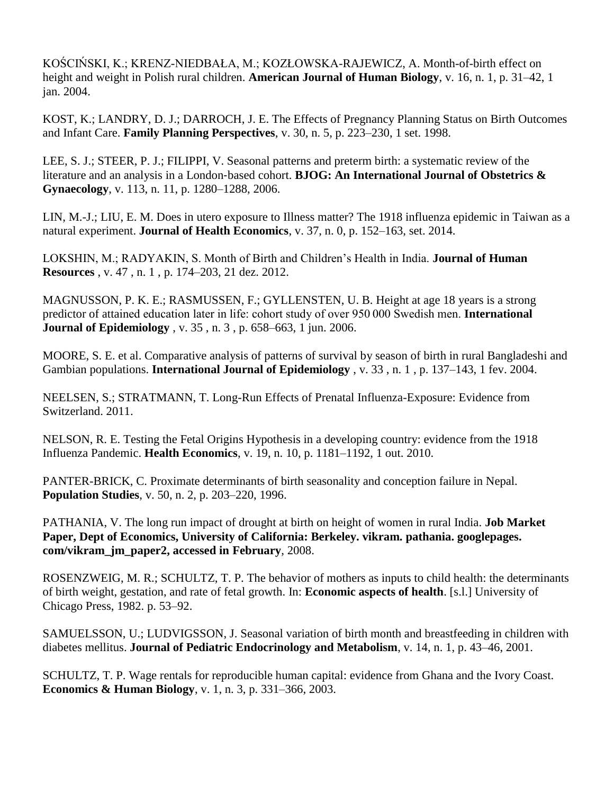KOŚCIŃSKI, K.; KRENZ-NIEDBAŁA, M.; KOZŁOWSKA-RAJEWICZ, A. Month-of-birth effect on height and weight in Polish rural children. **American Journal of Human Biology**, v. 16, n. 1, p. 31–42, 1 jan. 2004.

KOST, K.; LANDRY, D. J.; DARROCH, J. E. The Effects of Pregnancy Planning Status on Birth Outcomes and Infant Care. **Family Planning Perspectives**, v. 30, n. 5, p. 223–230, 1 set. 1998.

LEE, S. J.; STEER, P. J.; FILIPPI, V. Seasonal patterns and preterm birth: a systematic review of the literature and an analysis in a London‐based cohort. **BJOG: An International Journal of Obstetrics & Gynaecology**, v. 113, n. 11, p. 1280–1288, 2006.

LIN, M.-J.; LIU, E. M. Does in utero exposure to Illness matter? The 1918 influenza epidemic in Taiwan as a natural experiment. **Journal of Health Economics**, v. 37, n. 0, p. 152–163, set. 2014.

LOKSHIN, M.; RADYAKIN, S. Month of Birth and Children"s Health in India. **Journal of Human Resources** , v. 47 , n. 1 , p. 174–203, 21 dez. 2012.

MAGNUSSON, P. K. E.; RASMUSSEN, F.; GYLLENSTEN, U. B. Height at age 18 years is a strong predictor of attained education later in life: cohort study of over 950 000 Swedish men. **International Journal of Epidemiology** , v. 35 , n. 3 , p. 658–663, 1 jun. 2006.

MOORE, S. E. et al. Comparative analysis of patterns of survival by season of birth in rural Bangladeshi and Gambian populations. **International Journal of Epidemiology** , v. 33 , n. 1 , p. 137–143, 1 fev. 2004.

NEELSEN, S.; STRATMANN, T. Long-Run Effects of Prenatal Influenza-Exposure: Evidence from Switzerland. 2011.

NELSON, R. E. Testing the Fetal Origins Hypothesis in a developing country: evidence from the 1918 Influenza Pandemic. **Health Economics**, v. 19, n. 10, p. 1181–1192, 1 out. 2010.

PANTER-BRICK, C. Proximate determinants of birth seasonality and conception failure in Nepal. **Population Studies**, v. 50, n. 2, p. 203–220, 1996.

PATHANIA, V. The long run impact of drought at birth on height of women in rural India. **Job Market Paper, Dept of Economics, University of California: Berkeley. vikram. pathania. googlepages. com/vikram\_jm\_paper2, accessed in February**, 2008.

ROSENZWEIG, M. R.; SCHULTZ, T. P. The behavior of mothers as inputs to child health: the determinants of birth weight, gestation, and rate of fetal growth. In: **Economic aspects of health**. [s.l.] University of Chicago Press, 1982. p. 53–92.

SAMUELSSON, U.; LUDVIGSSON, J. Seasonal variation of birth month and breastfeeding in children with diabetes mellitus. **Journal of Pediatric Endocrinology and Metabolism**, v. 14, n. 1, p. 43–46, 2001.

SCHULTZ, T. P. Wage rentals for reproducible human capital: evidence from Ghana and the Ivory Coast. **Economics & Human Biology**, v. 1, n. 3, p. 331–366, 2003.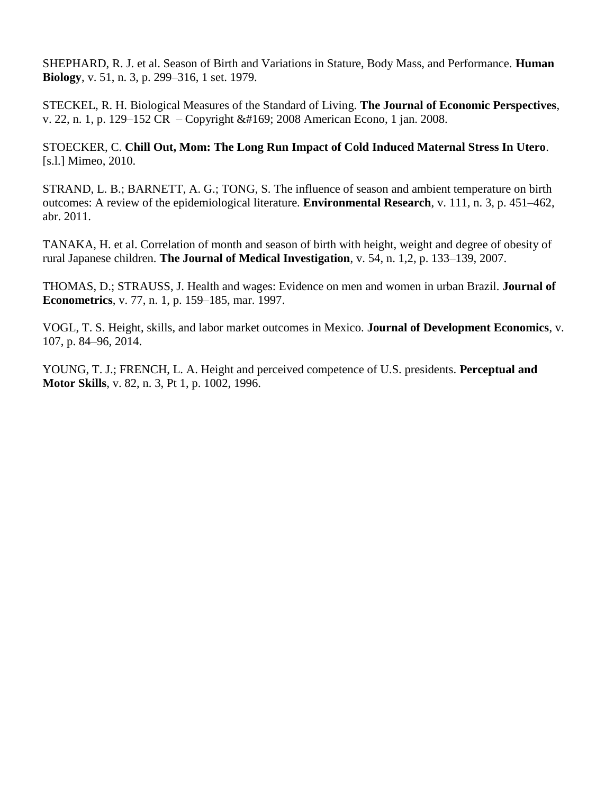SHEPHARD, R. J. et al. Season of Birth and Variations in Stature, Body Mass, and Performance. **Human Biology**, v. 51, n. 3, p. 299–316, 1 set. 1979.

STECKEL, R. H. Biological Measures of the Standard of Living. **The Journal of Economic Perspectives**, v. 22, n. 1, p. 129–152 CR – Copyright © 2008 American Econo, 1 jan. 2008.

STOECKER, C. **Chill Out, Mom: The Long Run Impact of Cold Induced Maternal Stress In Utero**. [s.l.] Mimeo, 2010.

STRAND, L. B.; BARNETT, A. G.; TONG, S. The influence of season and ambient temperature on birth outcomes: A review of the epidemiological literature. **Environmental Research**, v. 111, n. 3, p. 451–462, abr. 2011.

TANAKA, H. et al. Correlation of month and season of birth with height, weight and degree of obesity of rural Japanese children. **The Journal of Medical Investigation**, v. 54, n. 1,2, p. 133–139, 2007.

THOMAS, D.; STRAUSS, J. Health and wages: Evidence on men and women in urban Brazil. **Journal of Econometrics**, v. 77, n. 1, p. 159–185, mar. 1997.

VOGL, T. S. Height, skills, and labor market outcomes in Mexico. **Journal of Development Economics**, v. 107, p. 84–96, 2014.

YOUNG, T. J.; FRENCH, L. A. Height and perceived competence of U.S. presidents. **Perceptual and Motor Skills**, v. 82, n. 3, Pt 1, p. 1002, 1996.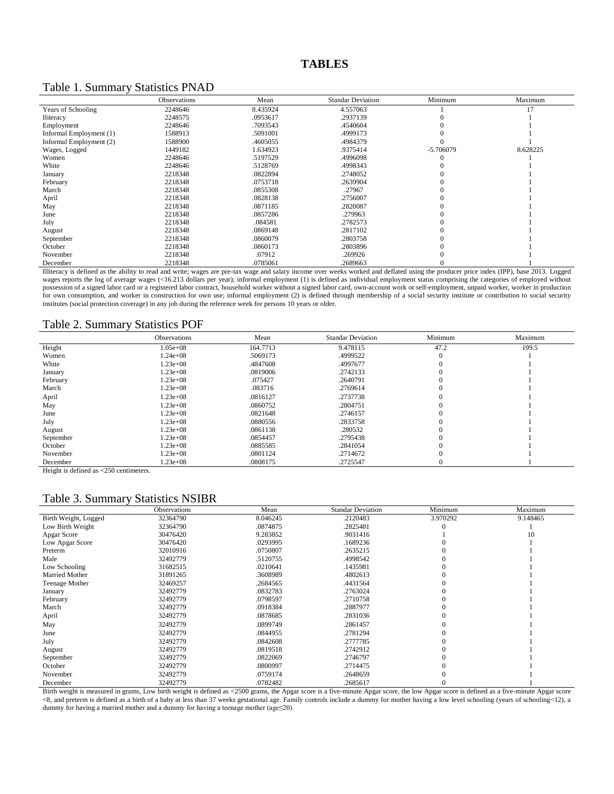### Table 1. Summary Statistics PNAD

|                         | Observations | Mean     | <b>Standar Deviation</b> | Minimum     | Maximum  |
|-------------------------|--------------|----------|--------------------------|-------------|----------|
| Years of Schooling      | 2248646      | 8.435924 | 4.557063                 |             | 17       |
| <b>Iliteracy</b>        | 2248575      | .0953617 | .2937139                 |             |          |
| Employment              | 2248646      | .7093543 | .4540604                 |             |          |
| Informal Employment (1) | 1588913      | .5091001 | .4999173                 |             |          |
| Informal Employment (2) | 1588900      | .4605055 | .4984379                 |             |          |
| Wages, Logged           | 1449182      | 1.634923 | .9375414                 | $-5.706079$ | 8.628225 |
| Women                   | 2248646      | .5197529 | .4996098                 |             |          |
| White                   | 2248646      | .5128769 | .4998343                 |             |          |
| January                 | 2218348      | .0822894 | .2748052                 |             |          |
| February                | 2218348      | .0753718 | .2639904                 |             |          |
| March                   | 2218348      | .0855308 | .27967                   |             |          |
| April                   | 2218348      | .0828138 | .2756007                 |             |          |
| May                     | 2218348      | .0871185 | .2820087                 |             |          |
| June                    | 2218348      | .0857286 | .279963                  |             |          |
| July                    | 2218348      | .084581  | .2782573                 |             |          |
| August                  | 2218348      | .0869148 | .2817102                 |             |          |
| September               | 2218348      | .0860079 | .2803758                 |             |          |
| October                 | 2218348      | .0860173 | .2803896                 |             |          |
| November                | 2218348      | .07912   | .269926                  |             |          |
| December                | 2218348      | .0785061 | .2689663                 |             |          |

Illiteracy is defined as the ability to read and write; wages are pre-tax wage and salary income over weeks worked and deflated using the producer price index (IPP), base 2013. Logged wages reports the log of average wages (<16.213 dollars per year); informal employment (1) is defined as individual employment status comprising the categories of employed without possession of a signed labor card or a registered labor contract, household worker without a signed labor card, own-account work or self-employment, unpaid worker, worker in production for own consumption, and worker in construction for own use; informal employment (2) is defined through membership of a social security institute or contribution to social security institutes (social protection coverage) in any job during the reference week for persons 10 years or older.

#### Table 2. Summary Statistics POF

|                                   | <b>Observations</b> | Mean     | <b>Standar Deviation</b> | Minimum | Maximum |
|-----------------------------------|---------------------|----------|--------------------------|---------|---------|
| Height                            | $1.05e + 08$        | 164.7713 | 9.478115                 | 47.2    | 199.5   |
| Women                             | $1.24e+08$          | .5069173 | .4999522                 |         |         |
| White                             | $1.23e+08$          | .4847608 | .4997677                 |         |         |
| January                           | $1.23e+08$          | .0819006 | .2742133                 |         |         |
| February                          | $1.23e+08$          | .075427  | .2640791                 |         |         |
| March                             | $1.23e + 08$        | .083716  | .2769614                 |         |         |
| April                             | $1.23e+08$          | .0816127 | .2737738                 |         |         |
| May                               | $1.23e+08$          | .0860752 | .2804751                 |         |         |
| June                              | $1.23e+08$          | .0821648 | .2746157                 |         |         |
| July                              | $1.23e+08$          | .0880556 | .2833758                 |         |         |
| August                            | $1.23e+08$          | .0861138 | .280532                  |         |         |
| September                         | $1.23e + 08$        | .0854457 | .2795438                 |         |         |
| October                           | $1.23e+08$          | .0885585 | .2841054                 |         |         |
| November                          | $1.23e+08$          | .0801124 | .2714672                 |         |         |
| December<br>. <i>.</i><br>$- - -$ | $1.23e+08$          | .0808175 | .2725547                 |         |         |

Height is defined as <250 centimeters.

### Table 3. Summary Statistics NSIBR

|                       | <b>Observations</b> | Mean     | <b>Standar Deviation</b> | Minimum  | Maximum  |
|-----------------------|---------------------|----------|--------------------------|----------|----------|
| Birth Weight, Logged  | 32364790            | 8.046245 | .2120483                 | 3.970292 | 9.148465 |
| Low Birth Weight      | 32364790            | .0874875 | .2825481                 |          |          |
| Apgar Score           | 30476420            | 9.283852 | .9031416                 |          | 10       |
| Low Apgar Score       | 30476420            | .0293995 | .1689236                 |          |          |
| Preterm               | 32010916            | .0750807 | .2635215                 |          |          |
| Male                  | 32492779            | .5120755 | .4998542                 |          |          |
| Low Schooling         | 31682515            | .0210641 | .1435981                 |          |          |
| Married Mother        | 31891265            | .3608989 | .4802613                 |          |          |
| <b>Teenage Mother</b> | 32469257            | .2684565 | .4431564                 |          |          |
| January               | 32492779            | .0832783 | .2763024                 |          |          |
| February              | 32492779            | .0798597 | .2710758                 |          |          |
| March                 | 32492779            | .0918384 | .2887977                 |          |          |
| April                 | 32492779            | .0878685 | .2831036                 |          |          |
| May                   | 32492779            | .0899749 | .2861457                 |          |          |
| June                  | 32492779            | .0844955 | .2781294                 |          |          |
| July                  | 32492779            | .0842608 | .2777785                 |          |          |
| August                | 32492779            | .0819518 | .2742912                 |          |          |
| September             | 32492779            | .0822069 | .2746797                 |          |          |
| October               | 32492779            | .0800997 | .2714475                 |          |          |
| November              | 32492779            | .0759174 | .2648659                 |          |          |
| December              | 32492779            | .0782482 | .2685617                 |          |          |

Birth weight is measured in grams, Low birth weight is defined as <2500 grams, the Apgar score is a five-minute Apgar score, the low Apgar score is defined as a five-minute Apgar score <8, and preterm is defined as [a birth](https://en.wikipedia.org/wiki/Birth) of a [baby](https://en.wikipedia.org/wiki/Baby) at less than 37 weeks [gestational age.](https://en.wikipedia.org/wiki/Gestational_age) Family controls include a dummy for mother having a low level schooling (years of schooling<12), a dummy for having a married mother and a dummy for having a teenage mother (age≤20).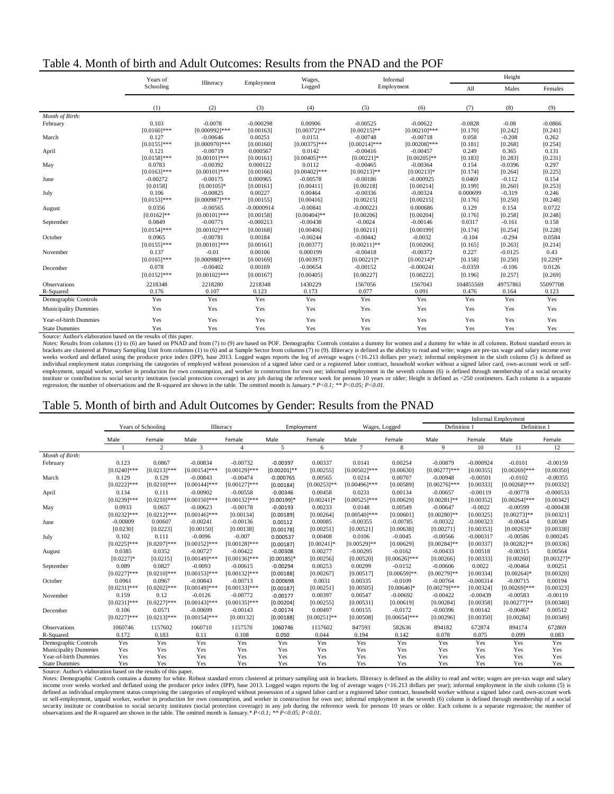| Table 4. Month of birth and Adult Outcomes: Results from the PNAD and the POF |  |
|-------------------------------------------------------------------------------|--|
|-------------------------------------------------------------------------------|--|

|                             | Years of       | Illiteracy       | Employment   | Wages,          |                 | Informal        |           | Height    |             |
|-----------------------------|----------------|------------------|--------------|-----------------|-----------------|-----------------|-----------|-----------|-------------|
|                             | Schooling      |                  |              | Logged          |                 | Employment      | All       | Males     | Females     |
|                             | (1)            | (2)              | (3)          | (4)             | (5)             | (6)             | (7)       | (8)       | (9)         |
| Month of Birth:             |                |                  |              |                 |                 |                 |           |           |             |
| February                    | 0.103          | $-0.0078$        | $-0.000298$  | 0.00906         | $-0.00525$      | $-0.00622$      | $-0.0828$ | $-0.08$   | $-0.0866$   |
|                             | $[0.0160]$ *** | $[0.000992]$ *** | [0.00163]    | $[0.00372]$ **  | $[0.00215]$ **  | $[0.00210]$ *** | [0.170]   | [0.242]   | [0.241]     |
| March                       | 0.127          | $-0.00646$       | 0.00251      | 0.0151          | $-0.00748$      | $-0.00718$      | 0.058     | $-0.208$  | 0.262       |
|                             | $[0.0155]$ *** | [0.000970]***    | [0.00160]    | $[0.00375]***$  | $[0.00214]$ *** | $[0.00208]$ *** | [0.181]   | [0.268]   | [0.254]     |
| April                       | 0.121          | $-0.00719$       | 0.000567     | 0.0142          | $-0.00416$      | $-0.00457$      | 0.249     | 0.365     | 0.131       |
|                             | $[0.0158]$ *** | $[0.00101]***$   | [0.00161]    | $[0.00405]$ *** | $[0.00221]$ *   | $[0.00205]$ **  | [0.183]   | [0.283]   | [0.231]     |
| May                         | 0.0783         | $-0.00392$       | 0.000122     | 0.0112          | $-0.00465$      | $-0.00364$      | 0.154     | $-0.0396$ | 0.297       |
|                             | $[0.0163]$ *** | $[0.00101]***$   | [0.00166]    | $[0.00402]$ *** | $[0.00213]**$   | $[0.00213]*$    | [0.174]   | [0.264]   | [0.225]     |
| June                        | $-0.00272$     | $-0.00175$       | 0.000965     | $-0.00578$      | $-0.00186$      | $-0.000925$     | 0.0469    | $-0.112$  | 0.154       |
|                             | [0.0158]       | $[0.00105]$ *    | [0.00161]    | [0.00411]       | [0.00218]       | [0.00214]       | [0.199]   | [0.260]   | [0.253]     |
| July                        | 0.106          | $-0.00825$       | 0.00227      | 0.00464         | $-0.00336$      | $-0.00324$      | 0.000699  | $-0.319$  | 0.246       |
|                             | $[0.0153]$ *** | $[0.000987]***$  | [0.00155]    | [0.00416]       | [0.00215]       | [0.00215]       | [0.176]   | [0.250]   | [0.248]     |
| August                      | 0.0356         | $-0.00565$       | $-0.0000914$ | $-0.00841$      | $-0.000221$     | 0.000686        | 0.129     | 0.154     | 0.0722      |
|                             | $[0.0162]$ **  | $[0.00101]***$   | [0.00158]    | $[0.00404]$ **  | [0.00206]       | [0.00204]       | [0.176]   | [0.258]   | [0.248]     |
| September                   | 0.0849         | $-0.00771$       | $-0.000213$  | $-0.00438$      | $-0.0024$       | $-0.00146$      | 0.0317    | $-0.161$  | 0.158       |
|                             | $[0.0154]$ *** | $[0.00102]$ ***  | [0.00168]    | [0.00406]       | [0.00211]       | [0.00199]       | [0.174]   | [0.254]   | [0.228]     |
| October                     | 0.0965         | $-0.00781$       | 0.00184      | $-0.00244$      | $-0.00442$      | $-0.0032$       | $-0.104$  | $-0.294$  | 0.0584      |
|                             | $[0.0155]$ *** | $[0.00101]***$   | [0.00161]    | [0.00377]       | $[0.00211]$ **  | [0.00206]       | [0.165]   | [0.263]   | [0.214]     |
| November                    | 0.137          | $-0.01$          | 0.00106      | 0.000199        | $-0.00418$      | $-0.00372$      | 0.227     | $-0.0125$ | 0.43        |
|                             | $[0.0165]$ *** | $[0.000988]$ *** | [0.00169]    | [0.00397]       | $[0.00221]$ *   | $[0.00214]$ *   | [0.158]   | [0.250]   | $[0.229]$ * |
| December                    | 0.078          | $-0.00402$       | 0.00169      | $-0.00654$      | $-0.00152$      | $-0.000241$     | $-0.0359$ | $-0.106$  | 0.0126      |
|                             | $[0.0152]$ *** | $[0.00102]$ ***  | [0.00167]    | [0.00405]       | [0.00227]       | [0.00222]       | [0.196]   | [0.257]   | [0.269]     |
| <b>Observations</b>         | 2218348        | 2218280          | 2218348      | 1430229         | 1567056         | 1567043         | 104855569 | 49757861  | 55097708    |
| R-Squared                   | 0.176          | 0.107            | 0.123        | 0.173           | 0.077           | 0.091           | 0.476     | 0.164     | 0.123       |
| Demographic Controls        | Yes            | Yes              | Yes          | Yes             | Yes             | Yes             | Yes       | Yes       | Yes         |
| <b>Municipality Dummies</b> | Yes            | Yes              | Yes          | Yes             | Yes             | Yes             | Yes       | Yes       | Yes         |
| Year-of-birth Dummies       | Yes            | Yes              | Yes          | Yes             | Yes             | Yes             | Yes       | Yes       | Yes         |
| <b>State Dummies</b>        | Yes            | Yes              | Yes          | Yes             | Yes             | Yes             | Yes       | Yes       | Yes         |

Source: Author's elaboration based on the results of this paper.

*Notes:* Results from columns (1) to (6) are based on PNAD and from (7) to (9) are based on POF. Demographic Controls contains a dummy for women and a dummy for white in all columns. Robust standard errors in brackets are clustered at Primary Sampling Unit from columns (1) to (6) and at Sample Sector from columns (7) to (9). Illiteracy is defined as the ability to read and write; wages are pre-tax wage and salary income over<br>we individual employment status comprising the categories of employed without possession of a signed labor card or a registered labor contract, household worker without a signed labor card, own-account work or self-<br>employmen institute or contribution to social security institutes (social protection coverage) in any job during the reference week for persons 10 years or older; Height is defined as <250 centimeters. Each column is a separate regr

# Table 5. Month of birth and Adult Outcomes by Gender: Results from the PNAD

|                             |                |                           |                 |                 |                |                |                 |                 |                 |             | <b>Informal Employment</b> |               |
|-----------------------------|----------------|---------------------------|-----------------|-----------------|----------------|----------------|-----------------|-----------------|-----------------|-------------|----------------------------|---------------|
|                             |                | <b>Years of Schooling</b> | Illiteracy      |                 | Employment     |                | Wages, Logged   |                 | Definition 1    |             | Definition 1               |               |
|                             | Male           | Female                    | Male            | Female          | Male           | Female         | Male            | Female          | Male            | Female      | Male                       | Female        |
|                             |                | 2                         | 3               | $\overline{4}$  | 5              | 6              | $\tau$          | 8               | $\mathbf Q$     | 10          | 11                         | 12            |
| Month of Birth:             |                |                           |                 |                 |                |                |                 |                 |                 |             |                            |               |
| February                    | 0.123          | 0.0867                    | $-0.00834$      | $-0.00732$      | $-0.00397$     | 0.00337        | 0.0141          | 0.00254         | $-0.00879$      | $-0.000924$ | $-0.0101$                  | $-0.00159$    |
|                             | $[0.0240]$ *** | $[0.0213]$ ***            | $[0.00154]$ *** | $[0.00129]$ *** | $[0.00201]$ ** | [0.00255]      | $[0.00502]$ *** | [0.00630]       | $[0.00277]$ *** | [0.00355]   | $[0.00269]$ ***            | [0.00350]     |
| March                       | 0.129          | 0.129                     | $-0.00843$      | $-0.00474$      | $-0.000765$    | 0.00565        | 0.0214          | 0.00707         | $-0.00948$      | $-0.00501$  | $-0.0102$                  | $-0.00355$    |
|                             | $[0.0222]$ *** | $[0.0210]$ ***            | $[0.00144]$ *** | $[0.00127]***$  | [0.00184]      | $[0.00253]$ ** | $[0.00496]$ *** | [0.00589]       | $[0.00276]$ *** | [0.00333]   | $[0.00268]$ ***            | [0.00332]     |
| April                       | 0.134          | 0.111                     | $-0.00902$      | $-0.00558$      | $-0.00346$     | 0.00458        | 0.0231          | 0.00134         | $-0.00657$      | $-0.00119$  | $-0.00778$                 | $-0.000533$   |
|                             | $[0.0239]$ *** | $[0.0210]$ ***            | $[0.00150]$ *** | $[0.00132]$ *** | $[0.00199]$ *  | $[0.00241]$ *  | $[0.00525]$ *** | [0.00629]       | $[0.00281]$ **  | [0.00352]   | $[0.00264]$ ***            | [0.00342]     |
| May                         | 0.0933         | 0.0657                    | $-0.00623$      | $-0.00178$      | $-0.00193$     | 0.00233        | 0.0148          | 0.00549         | $-0.00647$      | $-0.0022$   | $-0.00599$                 | $-0.000438$   |
|                             | $[0.0232]$ *** | $[0.0212]$ ***            | $[0.00146]$ *** | [0.00134]       | [0.00189]      | [0.00264]      | $[0.00540]$ *** | [0.00601]       | $[0.00280]$ **  | [0.00325]   | $[0.00273]$ **             | [0.00321]     |
| June                        | $-0.00809$     | 0.00607                   | $-0.00241$      | $-0.00136$      | 0.00112        | 0.00085        | $-0.00355$      | $-0.00785$      | $-0.00322$      | $-0.000323$ | $-0.00454$                 | 0.00349       |
|                             | [0.0230]       | [0.0223]                  | [0.00150]       | [0.00138]       | [0.00178]      | [0.00251]      | [0.00521]       | [0.00638]       | [0.00271]       | [0.00353]   | $[0.00263]$ *              | [0.00338]     |
| July                        | 0.102          | 0.111                     | $-0.0096$       | $-0.007$        | 0.000537       | 0.00408        | 0.0106          | $-0.0045$       | $-0.00566$      | $-0.000317$ | $-0.00586$                 | 0.000245      |
|                             | $[0.0225]$ *** | $[0.0207]***$             | $[0.00152]$ *** | $[0.00128]$ *** | [0.00187]      | $[0.00241]$ *  | $[0.00529]$ **  | [0.00629]       | $[0.00284]$ **  | [0.00337]   | $[0.00282]$ **             | [0.00336]     |
| August                      | 0.0385         | 0.0352                    | $-0.00727$      | $-0.00422$      | $-0.00308$     | 0.00277        | $-0.00295$      | $-0.0162$       | $-0.00433$      | 0.00518     | $-0.00315$                 | 0.00564       |
|                             | $[0.0227]$ *   | [0.0215]                  | $[0.00149]$ *** | $[0.00136]$ *** | $[0.00185]$ *  | [0.00256]      | [0.00520]       | $[0.00626]$ *** | [0.00266]       | [0.00333]   | [0.00260]                  | $[0.00327]$ * |
| September                   | 0.089          | 0.0827                    | $-0.0093$       | $-0.00615$      | $-0.00294$     | 0.00253        | 0.00299         | $-0.0152$       | $-0.00606$      | 0.0022      | $-0.00464$                 | 0.00251       |
|                             | $[0.0227]***$  | $[0.0210]$ ***            | $[0.00153]$ *** | $[0.00132]$ *** | [0.00188]      | [0.00267]      | [0.00517]       | $[0.00659]$ **  | $[0.00279]$ **  | [0.00334]   | $[0.00264]$ *              | [0.00320]     |
| October                     | 0.0961         | 0.0967                    | $-0.00843$      | $-0.00713$      | 0.000698       | 0.0031         | 0.00335         | $-0.0109$       | $-0.00764$      | $-0.000314$ | $-0.00715$                 | 0.00194       |
|                             | $[0.0231]$ *** | $[0.0202]$ ***            | $[0.00149]$ *** | $[0.00133]***$  | [0.00187]      | [0.00251]      | [0.00505]       | $[0.00646]$ *   | $[0.00279]$ *** | [0.00324]   | $[0.00269]$ ***            | [0.00323]     |
| November                    | 0.159          | 0.12                      | $-0.0126$       | $-0.00772$      | $-0.00177$     | 0.00397        | 0.00547         | $-0.00692$      | $-0.00422$      | $-0.00439$  | $-0.00583$                 | $-0.00119$    |
|                             | $[0.0231]$ *** | $[0.0227]$ ***            | $[0.00143]$ *** | $[0.00135]$ *** | [0.00204]      | [0.00255]      | [0.00531]       | [0.00619]       | [0.00284]       | [0.00358]   | $[0.00277]$ **             | [0.00340]     |
| December                    | 0.106          | 0.0571                    | $-0.00699$      | $-0.00143$      | $-0.00174$     | 0.00497        | 0.00155         | $-0.0172$       | $-0.00396$      | 0.00142     | $-0.00467$                 | 0.00512       |
|                             | $[0.0227]$ *** | $[0.0213]$ ***            | $[0.00154]$ *** | [0.00132]       | [0.00188]      | $[0.00251]$ ** | [0.00508]       | $[0.00654]$ *** | [0.00296]       | [0.00350]   | [0.00284]                  | [0.00349]     |
| Observations                | 1060746        | 1157602                   | 1060710         | 1157570         | 1060746        | 1157602        | 847593          | 582636          | 894182          | 672874      | 894174                     | 672869        |
| R-Squared                   | 0.172          | 0.183                     | 0.11            | 0.108           | 0.050          | 0.044          | 0.194           | 0.142           | 0.078           | 0.075       | 0.099                      | 0.083         |
| Demographic Controls        | Yes            | Yes                       | Yes             | Yes             | Yes            | Yes            | Yes             | Yes             | Yes             | Yes         | Yes                        | Yes           |
| <b>Municipality Dummies</b> | Yes            | Yes                       | Yes             | Yes             | Yes            | Yes            | Yes             | Yes             | Yes             | Yes         | Yes                        | Yes           |
| Year-of-birth Dummies       | Yes            | Yes                       | Yes             | Yes             | Yes            | Yes            | Yes             | Yes             | Yes             | Yes         | Yes                        | Yes           |
| <b>State Dummies</b>        | Yes            | Yes                       | Yes             | Yes             | Yes            | Yes            | Yes             | Yes             | Yes             | Yes         | Yes                        | Yes           |

State Dummies Yes Yes Yes Yes Yes Yes Yes Yes Yes Yes Yes Yes Source: Author's elaboration based on the results of this paper. *Notes:* Demographic Controls contains a dummy for white. Robust standard errors clustered at primary sampling unit in brackets. Illiteracy is defined as the ability to read and write; wages are pre-tax wage and salary income over weeks worked and deflated using the producer price index (IPP), base 2013. Logged wages reports the log of average wages (<16.213 dollars per year); informal employment in the sixth column (5) is defined as individual employment status comprising the categories of employed without possession of a signed labor card or a registered labor contract, household worker without a signed labor card, own-account work<br>or self security institute or contribution to social security institutes (social protection coverage) in any job during the reference week for persons 10 years or older. Each column is a separate regression; the number of observat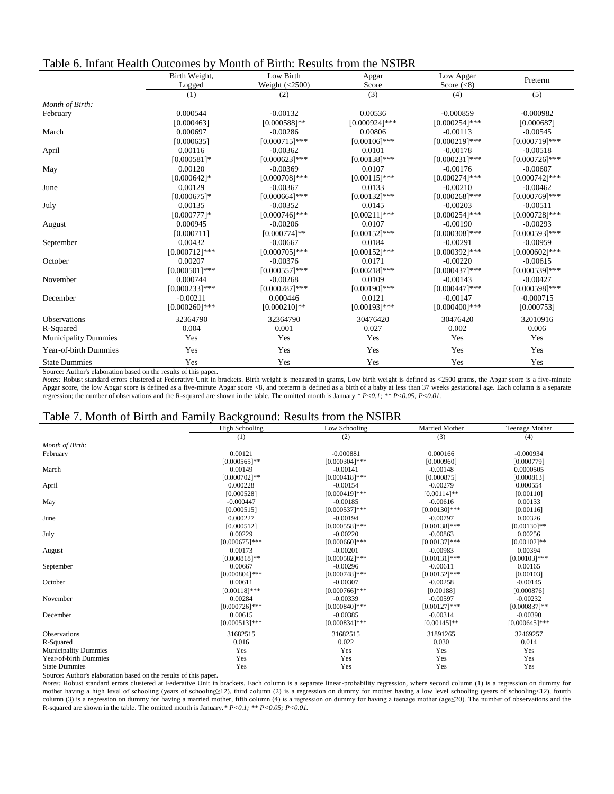| Table 6. Infant Health Outcomes by Month of Birth: Results from the NSIBR |
|---------------------------------------------------------------------------|
|---------------------------------------------------------------------------|

|                             | Birth Weight,    | Low Birth        | Apgar<br>Score   | Low Apgar        | Preterm          |
|-----------------------------|------------------|------------------|------------------|------------------|------------------|
|                             | Logged           | Weight $(<2500)$ |                  | Score $(<8)$     |                  |
|                             | (1)              | (2)              | (3)              | (4)              | (5)              |
| Month of Birth:             |                  |                  |                  |                  |                  |
| February                    | 0.000544         | $-0.00132$       | 0.00536          | $-0.000859$      | $-0.000982$      |
|                             | [0.000463]       | $[0.000588]$ **  | $[0.000924]$ *** | $[0.000254]$ *** | [0.000687]       |
| March                       | 0.000697         | $-0.00286$       | 0.00806          | $-0.00113$       | $-0.00545$       |
|                             | [0.000635]       | $[0.000715]***$  | $[0.00106]$ ***  | $[0.000219]$ *** | $[0.000719]$ *** |
| April                       | 0.00116          | $-0.00362$       | 0.0101           | $-0.00178$       | $-0.00518$       |
|                             | $[0.000581]$ *   | $[0.000623]$ *** | $[0.00138]$ ***  | $[0.000231]$ *** | $[0.000726]$ *** |
| May                         | 0.00120          | $-0.00369$       | 0.0107           | $-0.00176$       | $-0.00607$       |
|                             | $[0.000642]$ *   | $[0.000708]$ *** | $[0.00115]$ ***  | $[0.000274]$ *** | $[0.000742]$ *** |
| June                        | 0.00129          | $-0.00367$       | 0.0133           | $-0.00210$       | $-0.00462$       |
|                             | $[0.000675]$ *   | $[0.000664]$ *** | $[0.00132]$ ***  | $[0.000268]$ *** | $[0.000769]$ *** |
| July                        | 0.00135          | $-0.00352$       | 0.0145           | $-0.00203$       | $-0.00511$       |
|                             | $[0.000777]$ *   | $[0.000746]$ *** | $[0.00211]$ ***  | $[0.000254]$ *** | $[0.000728]$ *** |
| August                      | 0.000945         | $-0.00206$       | 0.0107           | $-0.00190$       | $-0.00293$       |
|                             | [0.000711]       | $[0.000774]$ **  | $[0.00152]$ ***  | $[0.000308]$ *** | $[0.000593]***$  |
| September                   | 0.00432          | $-0.00667$       | 0.0184           | $-0.00291$       | $-0.00959$       |
|                             | $[0.000712]$ *** | $[0.000705]$ *** | $[0.00152]***$   | $[0.000392]$ *** | $[0.000602]$ *** |
| October                     | 0.00207          | $-0.00376$       | 0.0171           | $-0.00220$       | $-0.00615$       |
|                             | $[0.000501]***$  | $[0.000557]***$  | $[0.00218]$ ***  | $[0.000437]$ *** | $[0.000539]$ *** |
| November                    | 0.000744         | $-0.00268$       | 0.0109           | $-0.00143$       | $-0.00427$       |
|                             | $[0.000233]***$  | $[0.000287]***$  | $[0.00190]$ ***  | $[0.000447]$ *** | $[0.000598]$ *** |
| December                    | $-0.00211$       | 0.000446         | 0.0121           | $-0.00147$       | $-0.000715$      |
|                             | $[0.000260]$ *** | $[0.000210]$ **  | $[0.00193]$ ***  | $[0.000400]$ *** | [0.000753]       |
| Observations                | 32364790         | 32364790         | 30476420         | 30476420         | 32010916         |
| R-Squared                   | 0.004            | 0.001            | 0.027            | 0.002            | 0.006            |
| <b>Municipality Dummies</b> | Yes              | Yes              | Yes              | Yes              | Yes              |
| Year-of-birth Dummies       | Yes              | Yes              | Yes              | Yes              | Yes              |
| <b>State Dummies</b>        | Yes              | Yes              | Yes              | Yes              | Yes              |

Source: Author's elaboration based on the results of this paper.

*Notes:* Robust standard errors clustered at Federative Unit in brackets. Birth weight is measured in grams, Low birth weight is defined as <2500 grams, the Apgar score is a five-minute Apgar score, the low Apgar score is defined as a five-minute Apgar score <8, and preterm is defined as [a birth](https://en.wikipedia.org/wiki/Birth) of a [baby](https://en.wikipedia.org/wiki/Baby) at less than 37 weeks [gestational age.](https://en.wikipedia.org/wiki/Gestational_age) Each column is a separate regression; the number of observations and the R-squared are shown in the table. The omitted month is January.*\* P<0.1; \*\* P<0.05; P<0.01.*

#### Table 7. Month of Birth and Family Background: Results from the NSIBR

|                             | <b>High Schooling</b> | Low Schooling    | Married Mother  | Teenage Mother   |
|-----------------------------|-----------------------|------------------|-----------------|------------------|
|                             | (1)                   | (2)              | (3)             | (4)              |
| Month of Birth:             |                       |                  |                 |                  |
| February                    | 0.00121               | $-0.000881$      | 0.000166        | $-0.000934$      |
|                             | $[0.000565]$ **       | $[0.000304]$ *** | [0.000960]      | [0.000779]       |
| March                       | 0.00149               | $-0.00141$       | $-0.00148$      | 0.0000505        |
|                             | $[0.000702]$ **       | $[0.000418]***$  | [0.000875]      | [0.000813]       |
| April                       | 0.000228              | $-0.00154$       | $-0.00279$      | 0.000554         |
|                             | [0.000528]            | $[0.000419]$ *** | $[0.00114]$ **  | [0.00110]        |
| May                         | $-0.000447$           | $-0.00185$       | $-0.00616$      | 0.00133          |
|                             | [0.000515]            | $[0.000537]***$  | $[0.00130]$ *** | [0.00116]        |
| June                        | 0.000227              | $-0.00194$       | $-0.00797$      | 0.00326          |
|                             | [0.000512]            | $[0.000558]$ *** | $[0.00138]$ *** | $[0.00130]$ **   |
| July                        | 0.00229               | $-0.00220$       | $-0.00863$      | 0.00256          |
|                             | $[0.000675]$ ***      | $[0.000660]$ *** | $[0.00137]***$  | $[0.00102]$ **   |
| August                      | 0.00173               | $-0.00201$       | $-0.00983$      | 0.00394          |
|                             | $[0.000818]$ **       | $[0.000582]$ *** | $[0.00131]$ *** | $[0.00103]$ ***  |
| September                   | 0.00667               | $-0.00296$       | $-0.00611$      | 0.00165          |
|                             | $[0.000804]$ ***      | $[0.000748]$ *** | $[0.00152]$ *** | [0.00103]        |
| October                     | 0.00611               | $-0.00307$       | $-0.00258$      | $-0.00145$       |
|                             | $[0.00118]$ ***       | $[0.000766]$ *** | [0.00188]       | [0.000876]       |
| November                    | 0.00284               | $-0.00339$       | $-0.00597$      | $-0.00232$       |
|                             | $[0.000726]$ ***      | $[0.000840]$ *** | $[0.00127]$ *** | $[0.000837]**$   |
| December                    | 0.00615               | $-0.00385$       | $-0.00314$      | $-0.00390$       |
|                             | $[0.000513]***$       | $[0.000834]$ *** | $[0.00145]$ **  | $[0.000645]$ *** |
| <b>Observations</b>         | 31682515              | 31682515         | 31891265        | 32469257         |
| R-Squared                   | 0.016                 | 0.022            | 0.030           | 0.014            |
| <b>Municipality Dummies</b> | Yes                   | Yes              | Yes             | Yes              |
| Year-of-birth Dummies       | Yes                   | Yes              | Yes             | Yes              |
| <b>State Dummies</b>        | Yes                   | Yes              | Yes             | Yes              |

Source: Author's elaboration based on the results of this paper.

*Notes:* Robust standard errors clustered at Federative Unit in brackets. Each column is a separate linear-probability regression, where second column (1) is a regression on dummy for mother having a high level of schooling (years of schooling≥12), third column (2) is a regression on dummy for mother having a low level schooling (years of schooling<12), fourth column (3) is a regression on dummy for having a married mother, fifth column (4) is a regression on dummy for having a teenage mother (age≤20). The number of observations and the R-squared are shown in the table. The omitted month is January.*\* P<0.1; \*\* P<0.05; P<0.01.*